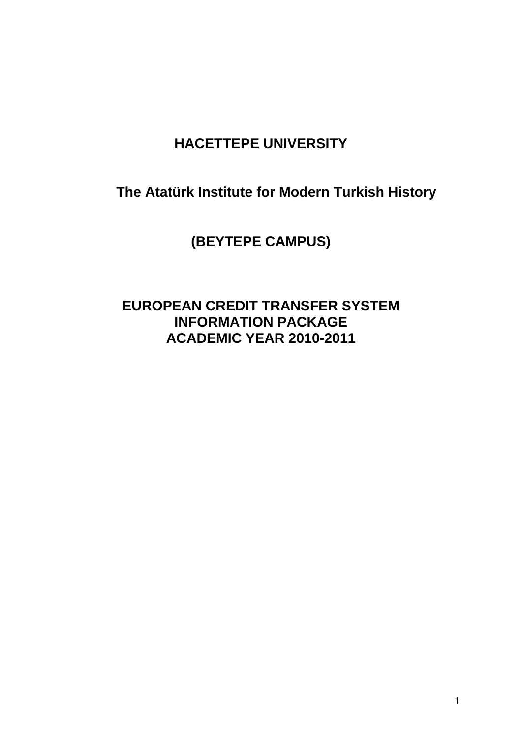# **HACETTEPE UNIVERSITY**

**The Atatürk Institute for Modern Turkish History** 

**(BEYTEPE CAMPUS)** 

# **EUROPEAN CREDIT TRANSFER SYSTEM INFORMATION PACKAGE ACADEMIC YEAR 2010-2011**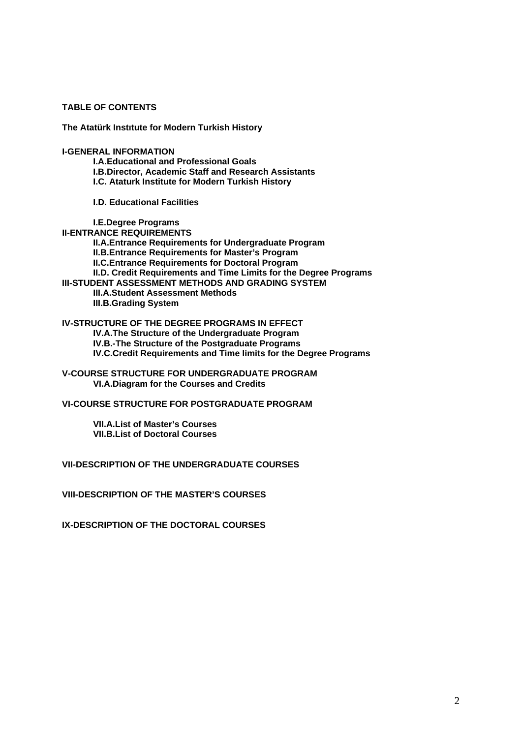**TABLE OF CONTENTS** 

**The Atatürk Instıtute for Modern Turkish History** 

**I-GENERAL INFORMATION** 

 **I.A.Educational and Professional Goals I.B.Director, Academic Staff and Research Assistants I.C. Ataturk Institute for Modern Turkish History** 

**I.D. Educational Facilities** 

 **I.E.Degree Programs II-ENTRANCE REQUIREMENTS II.A.Entrance Requirements for Undergraduate Program II.B.Entrance Requirements for Master's Program II.C.Entrance Requirements for Doctoral Program II.D. Credit Requirements and Time Limits for the Degree Programs III-STUDENT ASSESSMENT METHODS AND GRADING SYSTEM III.A.Student Assessment Methods III.B.Grading System** 

**IV-STRUCTURE OF THE DEGREE PROGRAMS IN EFFECT IV.A.The Structure of the Undergraduate Program IV.B.-The Structure of the Postgraduate Programs IV.C.Credit Requirements and Time limits for the Degree Programs** 

**V-COURSE STRUCTURE FOR UNDERGRADUATE PROGRAM VI.A.Diagram for the Courses and Credits** 

**VI-COURSE STRUCTURE FOR POSTGRADUATE PROGRAM** 

 **VII.A.List of Master's Courses VII.B.List of Doctoral Courses** 

**VII-DESCRIPTION OF THE UNDERGRADUATE COURSES** 

**VIII-DESCRIPTION OF THE MASTER'S COURSES** 

**IX-DESCRIPTION OF THE DOCTORAL COURSES**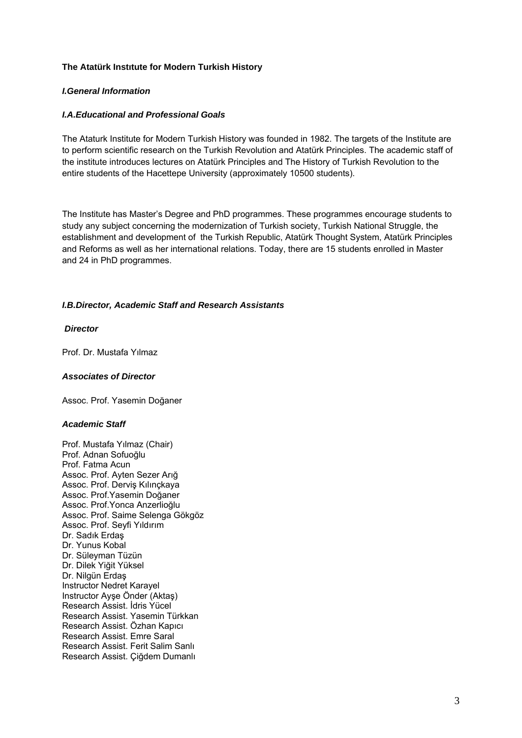### **The Atatürk Instıtute for Modern Turkish History**

### *I.General Information*

### *I.A.Educational and Professional Goals*

The Ataturk Institute for Modern Turkish History was founded in 1982. The targets of the Institute are to perform scientific research on the Turkish Revolution and Atatürk Principles. The academic staff of the institute introduces lectures on Atatürk Principles and The History of Turkish Revolution to the entire students of the Hacettepe University (approximately 10500 students).

The Institute has Master's Degree and PhD programmes. These programmes encourage students to study any subject concerning the modernization of Turkish society, Turkish National Struggle, the establishment and development of the Turkish Republic, Atatürk Thought System, Atatürk Principles and Reforms as well as her international relations. Today, there are 15 students enrolled in Master and 24 in PhD programmes.

## *I.B.Director, Academic Staff and Research Assistants*

#### *Director*

Prof. Dr. Mustafa Yılmaz

#### *Associates of Director*

Assoc. Prof. Yasemin Doğaner

## *Academic Staff*

Prof. Mustafa Yılmaz (Chair) Prof. Adnan Sofuoğlu Prof. Fatma Acun Assoc. Prof. Ayten Sezer Arığ Assoc. Prof. Derviş Kılınçkaya Assoc. Prof.Yasemin Doğaner Assoc. Prof.Yonca Anzerlioğlu Assoc. Prof. Saime Selenga Gökgöz Assoc. Prof. Seyfi Yıldırım Dr. Sadık Erdaş Dr. Yunus Kobal Dr. Süleyman Tüzün Dr. Dilek Yiğit Yüksel Dr. Nilgün Erdaş Instructor Nedret Karayel Instructor Ayşe Önder (Aktaş) Research Assist. İdris Yücel Research Assist. Yasemin Türkkan Research Assist. Özhan Kapıcı Research Assist. Emre Saral Research Assist. Ferit Salim Sanlı Research Assist. Çiğdem Dumanlı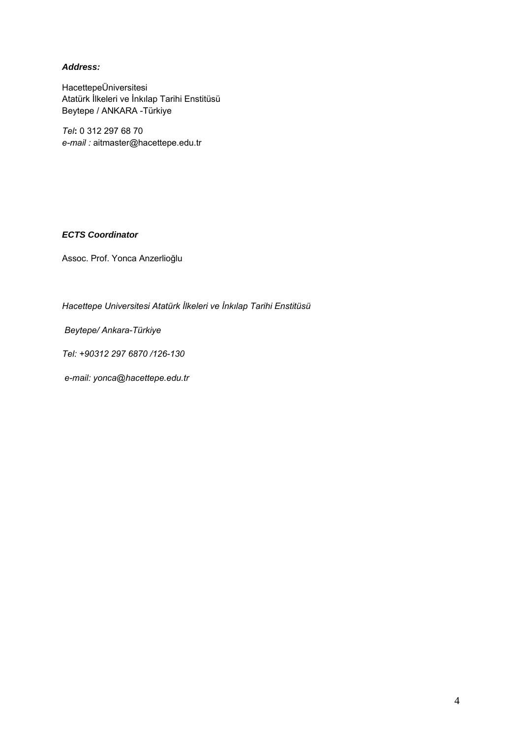## *Address:*

HacettepeÜniversitesi Atatürk İlkeleri ve İnkılap Tarihi Enstitüsü Beytepe / ANKARA -Türkiye

*Tel***:** 0 312 297 68 70 *e-mail :* aitmaster@hacettepe.edu.tr

## *ECTS Coordinator*

Assoc. Prof. Yonca Anzerlioğlu

*Hacettepe Universitesi Atatürk İlkeleri ve İnkılap Tarihi Enstitüsü* 

 *Beytepe/ Ankara-Türkiye* 

*Tel: +90312 297 6870 /126-130* 

 *e-mail: yonca@hacettepe.edu.tr*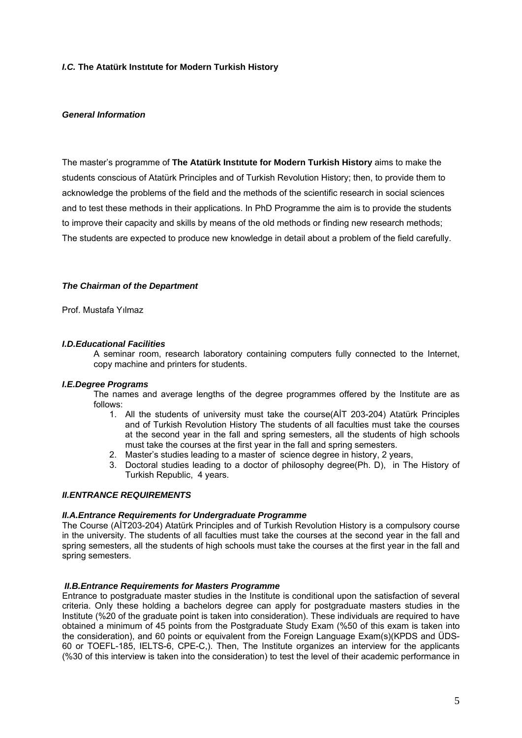### *I.C.* **The Atatürk Instıtute for Modern Turkish History**

#### *General Information*

The master's programme of **The Atatürk Instıtute for Modern Turkish History** aims to make the students conscious of Atatürk Principles and of Turkish Revolution History; then, to provide them to acknowledge the problems of the field and the methods of the scientific research in social sciences and to test these methods in their applications. In PhD Programme the aim is to provide the students to improve their capacity and skills by means of the old methods or finding new research methods; The students are expected to produce new knowledge in detail about a problem of the field carefully.

#### *The Chairman of the Department*

Prof. Mustafa Yılmaz

#### *I.D.Educational Facilities*

A seminar room, research laboratory containing computers fully connected to the Internet, copy machine and printers for students.

#### *I.E.Degree Programs*

The names and average lengths of the degree programmes offered by the Institute are as follows:

- 1. All the students of university must take the course(AİT 203-204) Atatürk Principles and of Turkish Revolution History The students of all faculties must take the courses at the second year in the fall and spring semesters, all the students of high schools must take the courses at the first year in the fall and spring semesters.
- 2. Master's studies leading to a master of science degree in history, 2 years,
- 3. Doctoral studies leading to a doctor of philosophy degree(Ph. D), in The History of Turkish Republic, 4 years.

#### *II.ENTRANCE REQUIREMENTS*

#### *II.A.Entrance Requirements for Undergraduate Programme*

The Course (AİT203-204) Atatürk Principles and of Turkish Revolution History is a compulsory course in the university. The students of all faculties must take the courses at the second year in the fall and spring semesters, all the students of high schools must take the courses at the first year in the fall and spring semesters.

#### *II.B.Entrance Requirements for Masters Programme*

Entrance to postgraduate master studies in the Institute is conditional upon the satisfaction of several criteria. Only these holding a bachelors degree can apply for postgraduate masters studies in the Institute (%20 of the graduate point is taken into consideration). These individuals are required to have obtained a minimum of 45 points from the Postgraduate Study Exam (%50 of this exam is taken into the consideration), and 60 points or equivalent from the Foreign Language Exam(s)(KPDS and ÜDS-60 or TOEFL-185, IELTS-6, CPE-C,). Then, The Institute organizes an interview for the applicants (%30 of this interview is taken into the consideration) to test the level of their academic performance in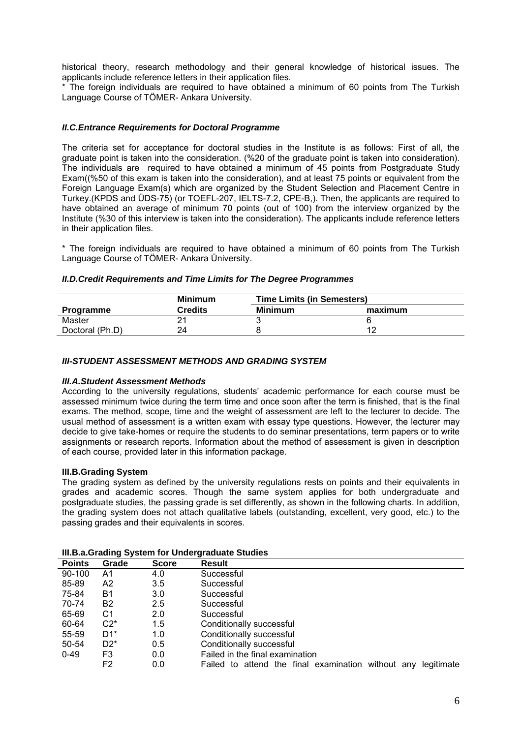historical theory, research methodology and their general knowledge of historical issues. The applicants include reference letters in their application files.

\* The foreign individuals are required to have obtained a minimum of 60 points from The Turkish Language Course of TÖMER- Ankara University.

### *II.C.Entrance Requirements for Doctoral Programme*

The criteria set for acceptance for doctoral studies in the Institute is as follows: First of all, the graduate point is taken into the consideration. (%20 of the graduate point is taken into consideration). The individuals are required to have obtained a minimum of 45 points from Postgraduate Study Exam((%50 of this exam is taken into the consideration), and at least 75 points or equivalent from the Foreign Language Exam(s) which are organized by the Student Selection and Placement Centre in Turkey.(KPDS and ÜDS-75) (or TOEFL-207, IELTS-7.2, CPE-B,). Then, the applicants are required to have obtained an average of minimum 70 points (out of 100) from the interview organized by the Institute (%30 of this interview is taken into the consideration). The applicants include reference letters in their application files.

\* The foreign individuals are required to have obtained a minimum of 60 points from The Turkish Language Course of TÖMER- Ankara Üniversity.

#### *II.D.Credit Requirements and Time Limits for The Degree Programmes*

|                  | <b>Minimum</b> | <b>Time Limits (in Semesters)</b> |         |  |
|------------------|----------------|-----------------------------------|---------|--|
| <b>Programme</b> | Credits        | <b>Minimum</b>                    | maximum |  |
| Master           |                |                                   |         |  |
| Doctoral (Ph.D)  |                |                                   |         |  |

### *III-STUDENT ASSESSMENT METHODS AND GRADING SYSTEM*

#### *III.A.Student Assessment Methods*

According to the university regulations, students' academic performance for each course must be assessed minimum twice during the term time and once soon after the term is finished, that is the final exams. The method, scope, time and the weight of assessment are left to the lecturer to decide. The usual method of assessment is a written exam with essay type questions. However, the lecturer may decide to give take-homes or require the students to do seminar presentations, term papers or to write assignments or research reports. Information about the method of assessment is given in description of each course, provided later in this information package.

#### **III.B.Grading System**

The grading system as defined by the university regulations rests on points and their equivalents in grades and academic scores. Though the same system applies for both undergraduate and postgraduate studies, the passing grade is set differently, as shown in the following charts. In addition, the grading system does not attach qualitative labels (outstanding, excellent, very good, etc.) to the passing grades and their equivalents in scores.

## **III.B.a.Grading System for Undergraduate Studies**

| <b>Points</b> | Grade          | <b>Score</b> | Result                                                           |
|---------------|----------------|--------------|------------------------------------------------------------------|
| $90-100$      | A1             | 4.0          | Successful                                                       |
| 85-89         | A2             | 3.5          | Successful                                                       |
| 75-84         | <b>B1</b>      | 3.0          | Successful                                                       |
| 70-74         | B <sub>2</sub> | 2.5          | Successful                                                       |
| 65-69         | C1             | 2.0          | Successful                                                       |
| 60-64         | $C2^*$         | 1.5          | Conditionally successful                                         |
| 55-59         | $D1^*$         | 1.0          | Conditionally successful                                         |
| 50-54         | $D2^*$         | 0.5          | Conditionally successful                                         |
| $0 - 49$      | F <sub>3</sub> | 0.0          | Failed in the final examination                                  |
|               | F <sub>2</sub> | 0.0          | Failed to attend the final examination without any<br>legitimate |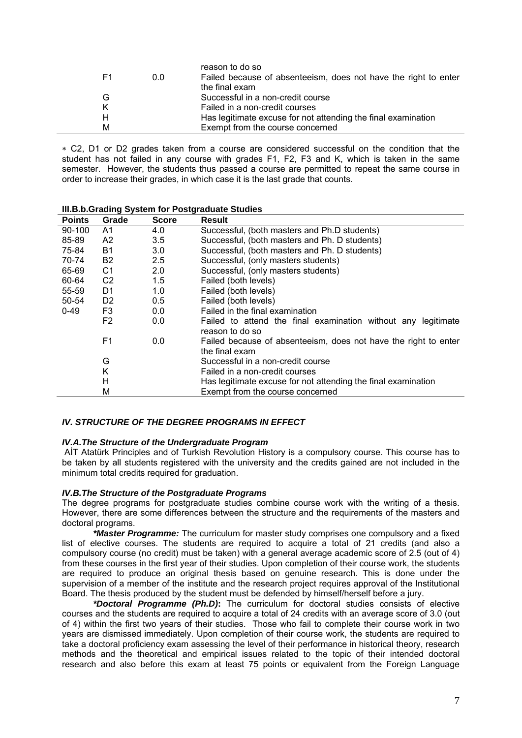|    |     | reason to do so                                                 |
|----|-----|-----------------------------------------------------------------|
| F1 | 0.0 | Failed because of absenteeism, does not have the right to enter |
|    |     | the final exam                                                  |
| G  |     | Successful in a non-credit course                               |
| K  |     | Failed in a non-credit courses                                  |
| н  |     | Has legitimate excuse for not attending the final examination   |
| м  |     | Exempt from the course concerned                                |

∗ C2, D1 or D2 grades taken from a course are considered successful on the condition that the student has not failed in any course with grades F1, F2, F3 and K, which is taken in the same semester. However, the students thus passed a course are permitted to repeat the same course in order to increase their grades, in which case it is the last grade that counts.

| <b>Points</b> | Grade          | <b>Score</b> | Result                                                                            |
|---------------|----------------|--------------|-----------------------------------------------------------------------------------|
| $90 - 100$    | A1             | 4.0          | Successful, (both masters and Ph.D students)                                      |
| 85-89         | A2             | 3.5          | Successful, (both masters and Ph. D students)                                     |
| 75-84         | B1             | 3.0          | Successful, (both masters and Ph. D students)                                     |
| 70-74         | B <sub>2</sub> | 2.5          | Successful, (only masters students)                                               |
| 65-69         | C1             | 2.0          | Successful, (only masters students)                                               |
| 60-64         | C <sub>2</sub> | 1.5          | Failed (both levels)                                                              |
| 55-59         | D1             | 1.0          | Failed (both levels)                                                              |
| 50-54         | D <sub>2</sub> | 0.5          | Failed (both levels)                                                              |
| $0 - 49$      | F3             | 0.0          | Failed in the final examination                                                   |
|               | F2             | 0.0          | Failed to attend the final examination without any legitimate<br>reason to do so  |
|               | F <sub>1</sub> | 0.0          | Failed because of absenteeism, does not have the right to enter<br>the final exam |
|               | G              |              | Successful in a non-credit course                                                 |
|               | Κ              |              | Failed in a non-credit courses                                                    |
|               | н              |              | Has legitimate excuse for not attending the final examination                     |
|               | М              |              | Exempt from the course concerned                                                  |

#### **III.B.b.Grading System for Postgraduate Studies**

#### *IV. STRUCTURE OF THE DEGREE PROGRAMS IN EFFECT*

#### *IV.A.The Structure of the Undergraduate Program*

 AİT Atatürk Principles and of Turkish Revolution History is a compulsory course. This course has to be taken by all students registered with the university and the credits gained are not included in the minimum total credits required for graduation.

## *IV.B.The Structure of the Postgraduate Programs*

The degree programs for postgraduate studies combine course work with the writing of a thesis. However, there are some differences between the structure and the requirements of the masters and doctoral programs.

*\*Master Programme:* The curriculum for master study comprises one compulsory and a fixed list of elective courses. The students are required to acquire a total of 21 credits (and also a compulsory course (no credit) must be taken) with a general average academic score of 2.5 (out of 4) from these courses in the first year of their studies. Upon completion of their course work, the students are required to produce an original thesis based on genuine research. This is done under the supervision of a member of the institute and the research project requires approval of the Institutional Board. The thesis produced by the student must be defended by himself/herself before a jury.

*\*Doctoral Programme (Ph.D)***:** The curriculum for doctoral studies consists of elective courses and the students are required to acquire a total of 24 credits with an average score of 3.0 (out of 4) within the first two years of their studies. Those who fail to complete their course work in two years are dismissed immediately. Upon completion of their course work, the students are required to take a doctoral proficiency exam assessing the level of their performance in historical theory, research methods and the theoretical and empirical issues related to the topic of their intended doctoral research and also before this exam at least 75 points or equivalent from the Foreign Language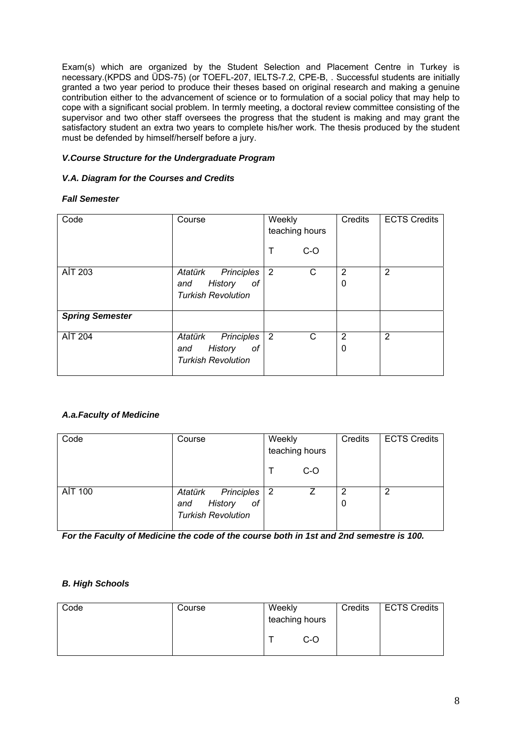Exam(s) which are organized by the Student Selection and Placement Centre in Turkey is necessary.(KPDS and ÜDS-75) (or TOEFL-207, IELTS-7.2, CPE-B, . Successful students are initially granted a two year period to produce their theses based on original research and making a genuine contribution either to the advancement of science or to formulation of a social policy that may help to cope with a significant social problem. In termly meeting, a doctoral review committee consisting of the supervisor and two other staff oversees the progress that the student is making and may grant the satisfactory student an extra two years to complete his/her work. The thesis produced by the student must be defended by himself/herself before a jury.

## *V.Course Structure for the Undergraduate Program*

## *V.A. Diagram for the Courses and Credits*

## *Fall Semester*

| Code                   | Course                                                                     | Weekly<br>teaching hours | Credits | <b>ECTS Credits</b> |
|------------------------|----------------------------------------------------------------------------|--------------------------|---------|---------------------|
|                        |                                                                            | Т<br>$C-O$               |         |                     |
| AİT 203                | Principles<br>Atatürk<br>History<br>οf<br>and<br><b>Turkish Revolution</b> | $\overline{2}$<br>С      | 2<br>0  | $\overline{2}$      |
| <b>Spring Semester</b> |                                                                            |                          |         |                     |
| <b>AİT 204</b>         | Principles<br>Atatürk<br>History<br>оf<br>and<br><b>Turkish Revolution</b> | 2<br>С                   | 2<br>0  | 2                   |

# *A.a.Faculty of Medicine*

| Code    | Course                                                                       | Weekly<br>teaching hours |     | Credits | <b>ECTS Credits</b> |
|---------|------------------------------------------------------------------------------|--------------------------|-----|---------|---------------------|
|         |                                                                              |                          | C-O |         |                     |
| AİT 100 | Principles  <br>Atatürk<br>of<br>History<br>and<br><b>Turkish Revolution</b> | $\overline{2}$           |     | 2<br>0  | $\overline{2}$      |

*For the Faculty of Medicine the code of the course both in 1st and 2nd semestre is 100.* 

# *B. High Schools*

| Code | Course | Weekly<br>teaching hours |  | Credits | ECTS Credits |
|------|--------|--------------------------|--|---------|--------------|
|      |        | C-O                      |  |         |              |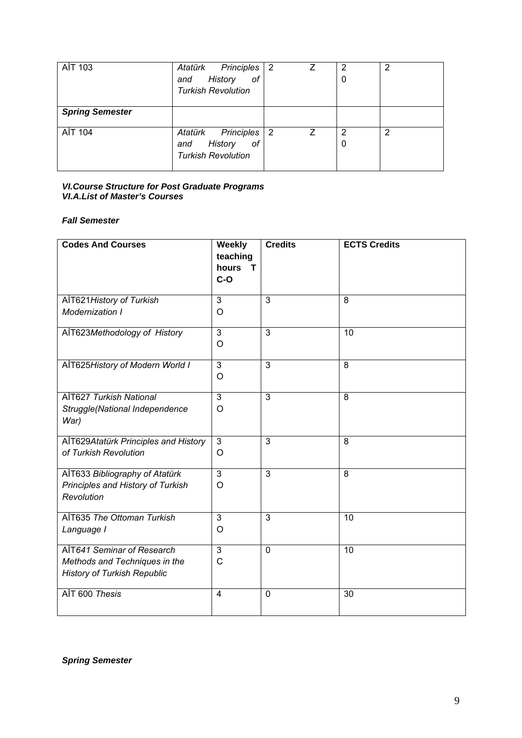| AİT 103                | Atatürk Principles<br>History<br>of<br>and<br><b>Turkish Revolution</b>           | $\overline{2}$ | 7 | 2<br>0 | 2 |
|------------------------|-----------------------------------------------------------------------------------|----------------|---|--------|---|
| <b>Spring Semester</b> |                                                                                   |                |   |        |   |
| AİT 104                | <b>Principles</b><br>Atatürk<br>History<br>of<br>and<br><b>Turkish Revolution</b> | 2              | 7 | 2<br>0 | 2 |

## *VI.Course Structure for Post Graduate Programs VI.A.List of Master's Courses*

# *Fall Semester*

| <b>Codes And Courses</b>                                                                          | Weekly<br>teaching<br>hours<br>T<br>$C-O$ | <b>Credits</b> | <b>ECTS Credits</b> |
|---------------------------------------------------------------------------------------------------|-------------------------------------------|----------------|---------------------|
| AİT621 History of Turkish                                                                         | 3                                         | 3              | 8                   |
| Modernization I                                                                                   | O                                         |                |                     |
| AlT623Methodology of History                                                                      | 3<br>O                                    | 3              | 10                  |
| AİT625History of Modern World I                                                                   | $\overline{3}$<br>$\circ$                 | $\overline{3}$ | $\overline{8}$      |
| AİT627 Turkish National<br>Struggle(National Independence<br>War)                                 | 3<br>$\circ$                              | 3              | 8                   |
| AlT629Atatürk Principles and History<br>of Turkish Revolution                                     | 3<br>O                                    | 3              | 8                   |
| AlT633 Bibliography of Atatürk<br>Principles and History of Turkish<br>Revolution                 | $\overline{3}$<br>$\circ$                 | $\overline{3}$ | $\overline{8}$      |
| AİT635 The Ottoman Turkish<br>Language I                                                          | 3<br>$\circ$                              | $\overline{3}$ | 10                  |
| AİT641 Seminar of Research<br>Methods and Techniques in the<br><b>History of Turkish Republic</b> | $\overline{3}$<br>$\mathsf{C}$            | $\overline{0}$ | $\overline{10}$     |
| AIT 600 Thesis                                                                                    | $\overline{4}$                            | $\mathbf 0$    | $\overline{30}$     |

*Spring Semester*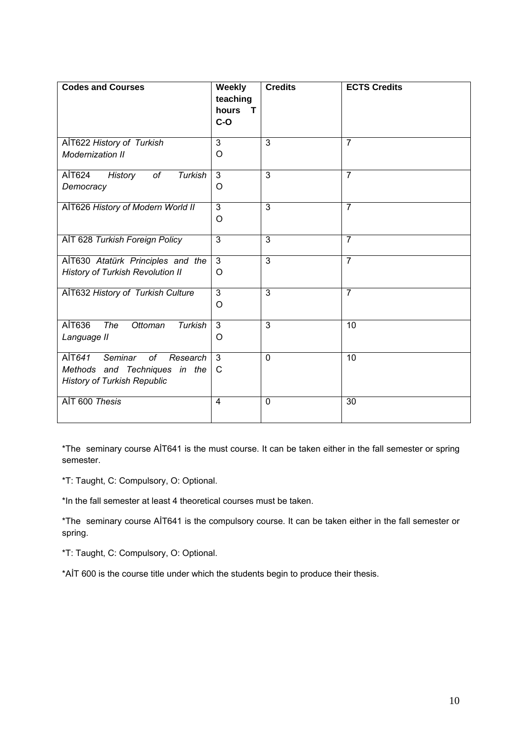| <b>Codes and Courses</b>                                                                                   | Weekly<br>teaching<br>hours<br>т<br>$C-O$ | <b>Credits</b> | <b>ECTS Credits</b> |
|------------------------------------------------------------------------------------------------------------|-------------------------------------------|----------------|---------------------|
| AİT622 History of Turkish<br>Modernization II                                                              | $\overline{3}$<br>$\circ$                 | $\overline{3}$ | $\overline{7}$      |
| AİT624<br>of<br>Turkish<br>History<br>Democracy                                                            | $\overline{3}$<br>O                       | $\overline{3}$ | $\overline{7}$      |
| AIT626 History of Modern World II                                                                          | $\overline{3}$<br>O                       | $\overline{3}$ | $\overline{7}$      |
| AIT 628 Turkish Foreign Policy                                                                             | $\overline{3}$                            | 3              | $\overline{7}$      |
| AİT630 Atatürk Principles and the<br><b>History of Turkish Revolution II</b>                               | 3<br>O                                    | $\overline{3}$ | $\overline{7}$      |
| AİT632 History of Turkish Culture                                                                          | $\overline{3}$<br>$\circ$                 | $\overline{3}$ | $\overline{7}$      |
| AİT636<br>The<br>Ottoman<br>Turkish<br>Language II                                                         | $\overline{3}$<br>O                       | $\overline{3}$ | 10                  |
| AİT641<br>Seminar<br>of<br>Research<br>Methods and Techniques in the<br><b>History of Turkish Republic</b> | 3<br>C                                    | $\mathbf 0$    | 10                  |
| AIT 600 Thesis                                                                                             | 4                                         | $\mathbf 0$    | 30                  |

\*The seminary course AİT641 is the must course. It can be taken either in the fall semester or spring semester.

\*T: Taught, C: Compulsory, O: Optional.

\*In the fall semester at least 4 theoretical courses must be taken.

\*The seminary course AİT641 is the compulsory course. It can be taken either in the fall semester or spring.

\*T: Taught, C: Compulsory, O: Optional.

\*AİT 600 is the course title under which the students begin to produce their thesis.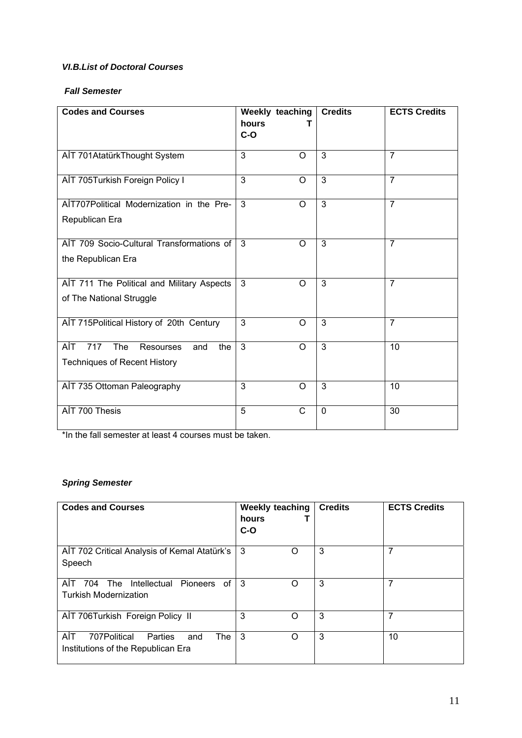## *VI.B.List of Doctoral Courses*

## *Fall Semester*

| <b>Codes and Courses</b>                                                                   | Weekly teaching<br>hours<br>$C-O$ |              | <b>Credits</b> | <b>ECTS Credits</b> |
|--------------------------------------------------------------------------------------------|-----------------------------------|--------------|----------------|---------------------|
| AIT 701AtatürkThought System                                                               | 3                                 | $\Omega$     | $\overline{3}$ | $\overline{7}$      |
| AIT 705Turkish Foreign Policy I                                                            | 3                                 | O            | 3              | $\overline{7}$      |
| AİT707Political Modernization in the Pre-<br>Republican Era                                | 3                                 | O            | $\overline{3}$ | $\overline{7}$      |
| AIT 709 Socio-Cultural Transformations of<br>the Republican Era                            | 3                                 | $\circ$      | $\overline{3}$ | $\overline{7}$      |
| AIT 711 The Political and Military Aspects<br>of The National Struggle                     | 3                                 | O            | $\overline{3}$ | $\overline{7}$      |
| AİT 715 Political History of 20th Century                                                  | $\overline{3}$                    | O            | $\overline{3}$ | $\overline{7}$      |
| AİT<br>717<br>The<br><b>Resourses</b><br>the<br>and<br><b>Techniques of Recent History</b> | 3                                 | O            | 3              | 10                  |
| AIT 735 Ottoman Paleography                                                                | 3                                 | $\Omega$     | $\overline{3}$ | 10                  |
| AİT 700 Thesis                                                                             | 5                                 | $\mathsf{C}$ | $\Omega$       | 30                  |

\*In the fall semester at least 4 courses must be taken.

# *Spring Semester*

| <b>Codes and Courses</b>                                                                  | <b>Weekly teaching</b><br>hours<br>$C-O$ | <b>Credits</b> | <b>ECTS Credits</b> |
|-------------------------------------------------------------------------------------------|------------------------------------------|----------------|---------------------|
| AIT 702 Critical Analysis of Kemal Atatürk's<br>Speech                                    | 3<br>∩                                   | 3              | 7                   |
| 704<br>Intellectual<br>AIT<br>Pioneers of<br>The<br><b>Turkish Modernization</b>          | -3<br>Ω                                  | 3              | 7                   |
| AIT 706Turkish Foreign Policy II                                                          | 3<br>∩                                   | 3              | 7                   |
| AİT<br>707Political<br><b>The</b><br>Parties<br>and<br>Institutions of the Republican Era | 3<br>Ω                                   | 3              | 10                  |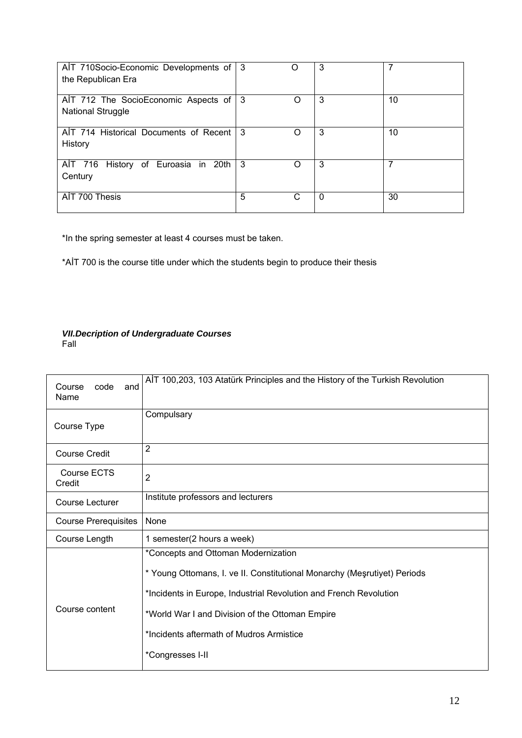| AlT 710Socio-Economic Developments of 3<br>the Republican Era    |     | $\Box$ | 3 | 7  |
|------------------------------------------------------------------|-----|--------|---|----|
| AIT 712 The SocioEconomic Aspects of<br><b>National Struggle</b> | -3  | O      | 3 | 10 |
| AIT 714 Historical Documents of Recent<br>History                | - 3 | 0      | 3 | 10 |
| AIT 716 History of Euroasia in 20th<br>Century                   | -3  | ( )    | 3 |    |
| AIT 700 Thesis                                                   | 5   | C      | 0 | 30 |

\*In the spring semester at least 4 courses must be taken.

\*AİT 700 is the course title under which the students begin to produce their thesis

#### *VII.Decription of Undergraduate Courses*  Fall

| Course<br>code<br>and<br>Name | AIT 100,203, 103 Atatürk Principles and the History of the Turkish Revolution                                                                                                                                                                                                                           |
|-------------------------------|---------------------------------------------------------------------------------------------------------------------------------------------------------------------------------------------------------------------------------------------------------------------------------------------------------|
| Course Type                   | Compulsary                                                                                                                                                                                                                                                                                              |
| <b>Course Credit</b>          | $\overline{2}$                                                                                                                                                                                                                                                                                          |
| Course ECTS<br>Credit         | $\overline{2}$                                                                                                                                                                                                                                                                                          |
| Course Lecturer               | Institute professors and lecturers                                                                                                                                                                                                                                                                      |
| <b>Course Prerequisites</b>   | None                                                                                                                                                                                                                                                                                                    |
| Course Length                 | 1 semester(2 hours a week)                                                                                                                                                                                                                                                                              |
| Course content                | *Concepts and Ottoman Modernization<br>* Young Ottomans, I. ve II. Constitutional Monarchy (Mesrutiyet) Periods<br>*Incidents in Europe, Industrial Revolution and French Revolution<br>*World War I and Division of the Ottoman Empire<br>*Incidents aftermath of Mudros Armistice<br>*Congresses I-II |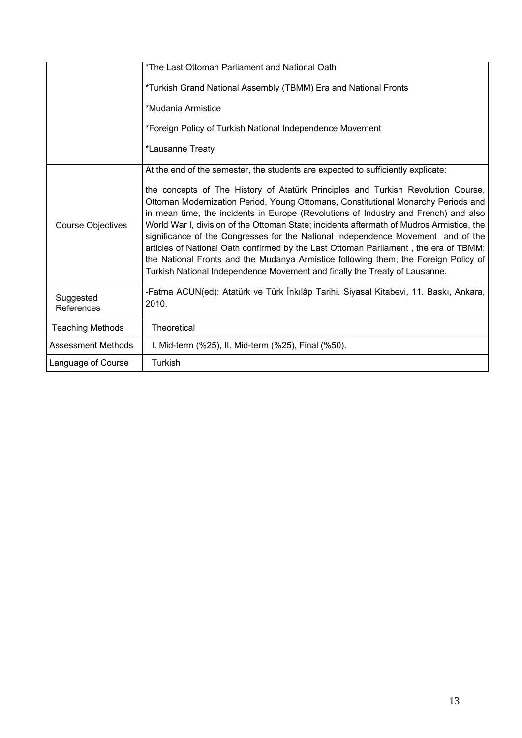|                           | *The Last Ottoman Parliament and National Oath                                                                                                                                                                                                                                                                                                                                                                                                                                                                                                                                                                                                                                                            |
|---------------------------|-----------------------------------------------------------------------------------------------------------------------------------------------------------------------------------------------------------------------------------------------------------------------------------------------------------------------------------------------------------------------------------------------------------------------------------------------------------------------------------------------------------------------------------------------------------------------------------------------------------------------------------------------------------------------------------------------------------|
|                           | *Turkish Grand National Assembly (TBMM) Era and National Fronts                                                                                                                                                                                                                                                                                                                                                                                                                                                                                                                                                                                                                                           |
|                           | *Mudania Armistice                                                                                                                                                                                                                                                                                                                                                                                                                                                                                                                                                                                                                                                                                        |
|                           | *Foreign Policy of Turkish National Independence Movement                                                                                                                                                                                                                                                                                                                                                                                                                                                                                                                                                                                                                                                 |
|                           | *Lausanne Treaty                                                                                                                                                                                                                                                                                                                                                                                                                                                                                                                                                                                                                                                                                          |
|                           | At the end of the semester, the students are expected to sufficiently explicate:                                                                                                                                                                                                                                                                                                                                                                                                                                                                                                                                                                                                                          |
| <b>Course Objectives</b>  | the concepts of The History of Atatürk Principles and Turkish Revolution Course,<br>Ottoman Modernization Period, Young Ottomans, Constitutional Monarchy Periods and<br>in mean time, the incidents in Europe (Revolutions of Industry and French) and also<br>World War I, division of the Ottoman State; incidents aftermath of Mudros Armistice, the<br>significance of the Congresses for the National Independence Movement and of the<br>articles of National Oath confirmed by the Last Ottoman Parliament, the era of TBMM;<br>the National Fronts and the Mudanya Armistice following them; the Foreign Policy of<br>Turkish National Independence Movement and finally the Treaty of Lausanne. |
| Suggested<br>References   | -Fatma ACUN(ed): Atatürk ve Türk İnkılâp Tarihi. Siyasal Kitabevi, 11. Baskı, Ankara,<br>2010.                                                                                                                                                                                                                                                                                                                                                                                                                                                                                                                                                                                                            |
| <b>Teaching Methods</b>   | <b>Theoretical</b>                                                                                                                                                                                                                                                                                                                                                                                                                                                                                                                                                                                                                                                                                        |
| <b>Assessment Methods</b> | I. Mid-term (%25), II. Mid-term (%25), Final (%50).                                                                                                                                                                                                                                                                                                                                                                                                                                                                                                                                                                                                                                                       |
| Language of Course        | Turkish                                                                                                                                                                                                                                                                                                                                                                                                                                                                                                                                                                                                                                                                                                   |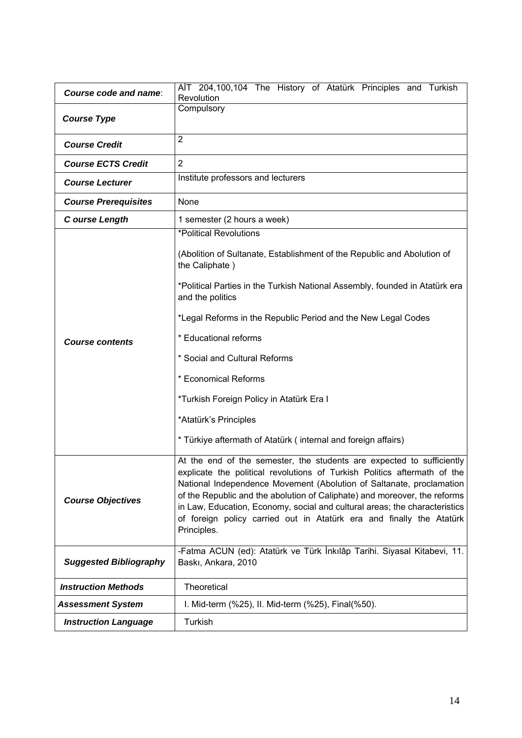| Course code and name:         | AIT 204,100,104 The History of Atatürk Principles and Turkish<br>Revolution                                                                                                                                                                                                                                                                                                                                                                                                                                     |  |
|-------------------------------|-----------------------------------------------------------------------------------------------------------------------------------------------------------------------------------------------------------------------------------------------------------------------------------------------------------------------------------------------------------------------------------------------------------------------------------------------------------------------------------------------------------------|--|
| <b>Course Type</b>            | Compulsory                                                                                                                                                                                                                                                                                                                                                                                                                                                                                                      |  |
| <b>Course Credit</b>          | $\overline{2}$                                                                                                                                                                                                                                                                                                                                                                                                                                                                                                  |  |
| <b>Course ECTS Credit</b>     | $\overline{2}$                                                                                                                                                                                                                                                                                                                                                                                                                                                                                                  |  |
| <b>Course Lecturer</b>        | Institute professors and lecturers                                                                                                                                                                                                                                                                                                                                                                                                                                                                              |  |
| <b>Course Prerequisites</b>   | None                                                                                                                                                                                                                                                                                                                                                                                                                                                                                                            |  |
| C ourse Length                | 1 semester (2 hours a week)                                                                                                                                                                                                                                                                                                                                                                                                                                                                                     |  |
| <b>Course contents</b>        | *Political Revolutions<br>(Abolition of Sultanate, Establishment of the Republic and Abolution of<br>the Caliphate)<br>*Political Parties in the Turkish National Assembly, founded in Atatürk era<br>and the politics<br>*Legal Reforms in the Republic Period and the New Legal Codes<br>* Educational reforms<br>* Social and Cultural Reforms<br>* Economical Reforms<br>*Turkish Foreign Policy in Atatürk Era I<br>*Atatürk's Principles<br>* Türkiye aftermath of Atatürk (internal and foreign affairs) |  |
| <b>Course Objectives</b>      | At the end of the semester, the students are expected to sufficiently<br>explicate the political revolutions of Turkish Politics aftermath of the<br>National Independence Movement (Abolution of Saltanate, proclamation<br>of the Republic and the abolution of Caliphate) and moreover, the reforms<br>in Law, Education, Economy, social and cultural areas; the characteristics<br>of foreign policy carried out in Atatürk era and finally the Atatürk<br>Principles.                                     |  |
| <b>Suggested Bibliography</b> | -Fatma ACUN (ed): Atatürk ve Türk İnkılâp Tarihi. Siyasal Kitabevi, 11.<br>Baski, Ankara, 2010                                                                                                                                                                                                                                                                                                                                                                                                                  |  |
| <b>Instruction Methods</b>    | Theoretical                                                                                                                                                                                                                                                                                                                                                                                                                                                                                                     |  |
| <b>Assessment System</b>      | I. Mid-term (%25), II. Mid-term (%25), Final(%50).                                                                                                                                                                                                                                                                                                                                                                                                                                                              |  |
| <b>Instruction Language</b>   | Turkish                                                                                                                                                                                                                                                                                                                                                                                                                                                                                                         |  |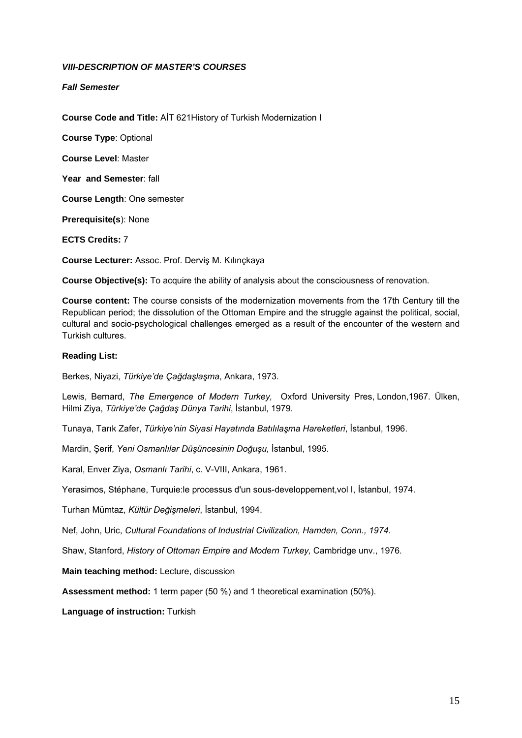## *VIII-DESCRIPTION OF MASTER'S COURSES*

*Fall Semester* 

**Course Code and Title:** AİT 621History of Turkish Modernization I

**Course Type**: Optional

**Course Level**: Master

**Year and Semester**: fall

**Course Length**: One semester

**Prerequisite(s**): None

**ECTS Credits:** 7

**Course Lecturer:** Assoc. Prof. Derviş M. Kılınçkaya

**Course Objective(s):** To acquire the ability of analysis about the consciousness of renovation.

**Course content:** The course consists of the modernization movements from the 17th Century till the Republican period; the dissolution of the Ottoman Empire and the struggle against the political, social, cultural and socio-psychological challenges emerged as a result of the encounter of the western and Turkish cultures.

## **Reading List:**

Berkes, Niyazi, *Türkiye'de Çağdaşlaşma*, Ankara, 1973.

Lewis, Bernard, *The Emergence of Modern Turkey,* Oxford University Pres, London,1967. Ülken, Hilmi Ziya, *Türkiye'de Çağdaş Dünya Tarihi*, İstanbul, 1979.

Tunaya, Tarık Zafer, *Türkiye'nin Siyasi Hayatında Batılılaşma Hareketleri*, İstanbul, 1996.

Mardin, Şerif, *Yeni Osmanlılar Düşüncesinin Doğuşu,* İstanbul, 1995.

Karal, Enver Ziya, *Osmanlı Tarihi*, c. V-VIII, Ankara, 1961.

Yerasimos, Stéphane, Turquie:le processus d'un sous-developpement,vol I, İstanbul, 1974.

Turhan Mümtaz, *Kültür Değişmeleri*, İstanbul, 1994.

Nef, John, Uric, *Cultural Foundations of Industrial Civilization, Hamden, Conn., 1974.*

Shaw, Stanford, *History of Ottoman Empire and Modern Turkey,* Cambridge unv., 1976*.*

**Main teaching method:** Lecture, discussion

**Assessment method:** 1 term paper (50 %) and 1 theoretical examination (50%).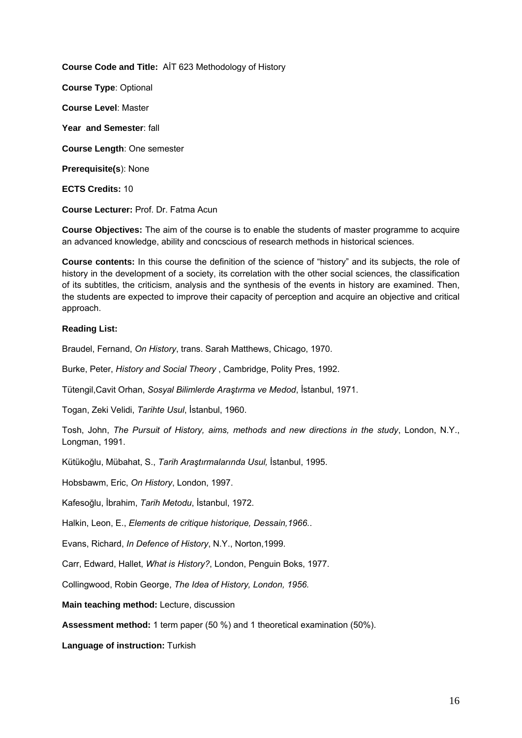**Course Code and Title:** AİT 623 Methodology of History

**Course Type**: Optional

**Course Level**: Master

**Year and Semester**: fall

**Course Length**: One semester

**Prerequisite(s**): None

**ECTS Credits:** 10

**Course Lecturer:** Prof. Dr. Fatma Acun

**Course Objectives:** The aim of the course is to enable the students of master programme to acquire an advanced knowledge, ability and concscious of research methods in historical sciences.

**Course contents:** In this course the definition of the science of "history" and its subjects, the role of history in the development of a society, its correlation with the other social sciences, the classification of its subtitles, the criticism, analysis and the synthesis of the events in history are examined. Then, the students are expected to improve their capacity of perception and acquire an objective and critical approach.

# **Reading List:**

Braudel, Fernand, *On History*, trans. Sarah Matthews, Chicago, 1970.

Burke, Peter, *History and Social Theory* , Cambridge, Polity Pres, 1992.

Tütengil,Cavit Orhan, *Sosyal Bilimlerde Araştırma ve Medod*, İstanbul, 1971.

Togan, Zeki Velidi, *Tarihte Usul*, İstanbul, 1960.

Tosh, John, *The Pursuit of History, aims, methods and new directions in the study*, London, N.Y., Longman, 1991.

Kütükoğlu, Mübahat, S., *Tarih Araştırmalarında Usul,* İstanbul, 1995.

Hobsbawm, Eric, *On History*, London, 1997.

Kafesoğlu, İbrahim, *Tarih Metodu*, İstanbul, 1972.

Halkin, Leon, E., *Elements de critique historique, Dessain,1966.*.

Evans, Richard, *In Defence of History*, N.Y., Norton,1999.

Carr, Edward, Hallet, *What is History?*, London, Penguin Boks, 1977.

Collingwood, Robin George, *The Idea of History, London, 1956.*

**Main teaching method:** Lecture, discussion

**Assessment method:** 1 term paper (50 %) and 1 theoretical examination (50%).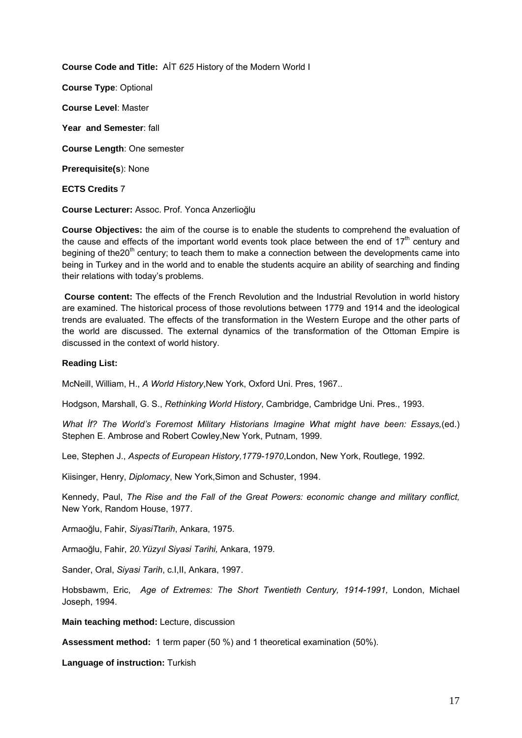**Course Code and Title:** AİT *625* History of the Modern World I

**Course Type**: Optional

**Course Level**: Master

**Year and Semester**: fall

**Course Length**: One semester

**Prerequisite(s**): None

**ECTS Credits** 7

**Course Lecturer:** Assoc. Prof. Yonca Anzerlioğlu

**Course Objectives:** the aim of the course is to enable the students to comprehend the evaluation of the cause and effects of the important world events took place between the end of  $17<sup>th</sup>$  century and begining of the20<sup>th</sup> century; to teach them to make a connection between the developments came into being in Turkey and in the world and to enable the students acquire an ability of searching and finding their relations with today's problems.

**Course content:** The effects of the French Revolution and the Industrial Revolution in world history are examined. The historical process of those revolutions between 1779 and 1914 and the ideological trends are evaluated. The effects of the transformation in the Western Europe and the other parts of the world are discussed. The external dynamics of the transformation of the Ottoman Empire is discussed in the context of world history.

## **Reading List:**

McNeill, William, H., *A World History*,New York, Oxford Uni. Pres, 1967..

Hodgson, Marshall, G. S., *Rethinking World History*, Cambridge, Cambridge Uni. Pres., 1993.

*What İf? The World's Foremost Military Historians Imagine What might have been: Essays,*(ed.) Stephen E. Ambrose and Robert Cowley,New York, Putnam, 1999.

Lee, Stephen J., *Aspects of European History,1779-1970*,London, New York, Routlege, 1992.

Kiisinger, Henry, *Diplomacy*, New York,Simon and Schuster, 1994.

Kennedy, Paul, *The Rise and the Fall of the Great Powers: economic change and military conflict,* New York, Random House, 1977.

Armaoğlu, Fahir, *SiyasiTtarih*, Ankara, 1975.

Armaoğlu, Fahir, *20.Yüzyıl Siyasi Tarihi,* Ankara, 1979.

Sander, Oral, *Siyasi Tarih*, c.I,II, Ankara, 1997.

Hobsbawm, Eric, *Age of Extremes: The Short Twentieth Century, 1914-1991,* London, Michael Joseph, 1994.

**Main teaching method:** Lecture, discussion

**Assessment method:** 1 term paper (50 %) and 1 theoretical examination (50%).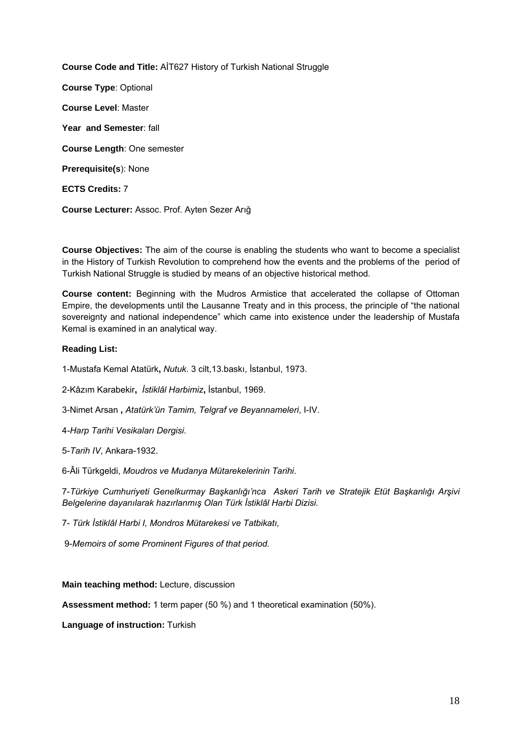**Course Code and Title:** AİT627 History of Turkish National Struggle **Course Type**: Optional **Course Level**: Master **Year and Semester**: fall **Course Length**: One semester **Prerequisite(s**): None **ECTS Credits:** 7 **Course Lecturer:** Assoc. Prof. Ayten Sezer Arığ

**Course Objectives:** The aim of the course is enabling the students who want to become a specialist in the History of Turkish Revolution to comprehend how the events and the problems of the period of Turkish National Struggle is studied by means of an objective historical method.

**Course content:** Beginning with the Mudros Armistice that accelerated the collapse of Ottoman Empire, the developments until the Lausanne Treaty and in this process, the principle of "the national sovereignty and national independence" which came into existence under the leadership of Mustafa Kemal is examined in an analytical way.

# **Reading List:**

1-Mustafa Kemal Atatürk**,** *Nutuk*. 3 cilt,13.baskı, İstanbul, 1973.

2-Kâzım Karabekir**,** *İstiklâl Harbimiz***,** İstanbul, 1969.

3-Nimet Arsan **,** *Atatürk'ün Tamim, Telgraf ve Beyannameleri*, I-IV.

4*-Harp Tarihi Vesikaları Dergisi.*

5-*Tarih IV*, Ankara-1932.

6-Âli Türkgeldi, *Moudros ve Mudanya Mütarekelerinin Tarihi*.

7-*Türkiye Cumhuriyeti Genelkurmay Başkanlığı'nca Askeri Tarih ve Stratejik Etüt Başkanlığı Arşivi Belgelerine dayanılarak hazırlanmış Olan Türk İstiklâl Harbi Dizisi.* 

7- *Türk İstiklâl Harbi I, Mondros Mütarekesi ve Tatbikatı,*

9-*Memoirs of some Prominent Figures of that period.* 

**Main teaching method:** Lecture, discussion

**Assessment method:** 1 term paper (50 %) and 1 theoretical examination (50%).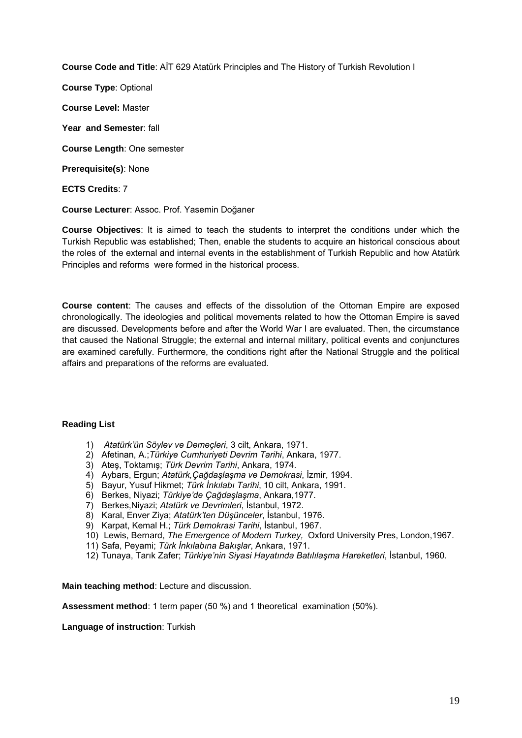**Course Code and Title**: AİT 629 Atatürk Principles and The History of Turkish Revolution I

**Course Type**: Optional **Course Level:** Master

**Year and Semester**: fall

**Course Length**: One semester

**Prerequisite(s)**: None

**ECTS Credits**: 7

**Course Lecturer**: Assoc. Prof. Yasemin Doğaner

**Course Objectives**: It is aimed to teach the students to interpret the conditions under which the Turkish Republic was established; Then, enable the students to acquire an historical conscious about the roles of the external and internal events in the establishment of Turkish Republic and how Atatürk Principles and reforms were formed in the historical process.

**Course content**: The causes and effects of the dissolution of the Ottoman Empire are exposed chronologically. The ideologies and political movements related to how the Ottoman Empire is saved are discussed. Developments before and after the World War I are evaluated. Then, the circumstance that caused the National Struggle; the external and internal military, political events and conjunctures are examined carefully. Furthermore, the conditions right after the National Struggle and the political affairs and preparations of the reforms are evaluated.

## **Reading List**

- 1) *Atatürk'ün Söylev ve Demeçleri*, 3 cilt, Ankara, 1971.
- 2) Afetinan, A.;*Türkiye Cumhuriyeti Devrim Tarihi*, Ankara, 1977.
- 3) Ateş, Toktamış; *Türk Devrim Tarihi*, Ankara, 1974.
- 4) Aybars, Ergun; *Atatürk,Çağdaşlaşma ve Demokrasi*, İzmir, 1994.
- 5) Bayur, Yusuf Hikmet; *Türk İnkılabı Tarihi*, 10 cilt, Ankara, 1991.
- 6) Berkes, Niyazi; *Türkiye'de Çağdaşlaşma*, Ankara,1977.
- 7) Berkes,Niyazi; *Atatürk ve Devrimleri*, İstanbul, 1972.
- 8) Karal, Enver Ziya; *Atatürk'ten Düşünceler*, İstanbul, 1976.
- 9) Karpat, Kemal H.; *Türk Demokrasi Tarihi*, İstanbul, 1967.
- 10) Lewis, Bernard, *The Emergence of Modern Turkey,* Oxford University Pres, London,1967.
- 11) Safa, Peyami; *Türk İnkılabına Bakışlar*, Ankara, 1971.
- 12) Tunaya, Tarık Zafer; *Türkiye'nin Siyasi Hayatında Batılılaşma Hareketleri*, İstanbul, 1960.

**Main teaching method**: Lecture and discussion.

**Assessment method**: 1 term paper (50 %) and 1 theoretical examination (50%).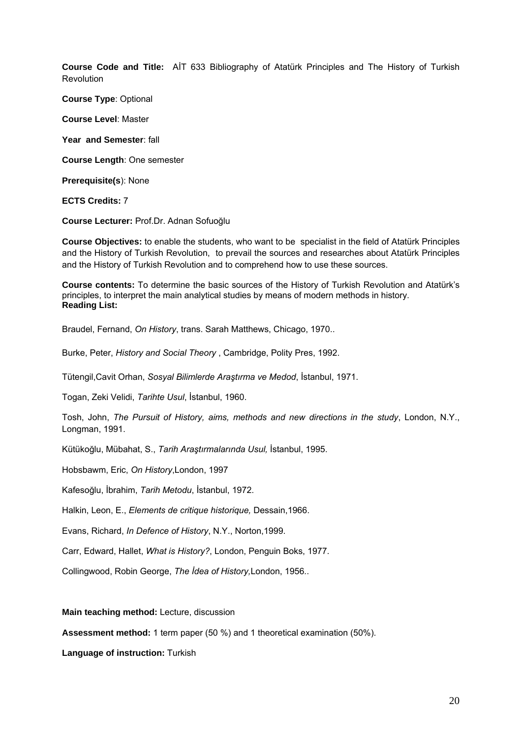**Course Code and Title:** AİT 633 Bibliography of Atatürk Principles and The History of Turkish **Revolution** 

**Course Type**: Optional

**Course Level**: Master

**Year and Semester**: fall

**Course Length**: One semester

**Prerequisite(s**): None

**ECTS Credits:** 7

**Course Lecturer:** Prof.Dr. Adnan Sofuoğlu

**Course Objectives:** to enable the students, who want to be specialist in the field of Atatürk Principles and the History of Turkish Revolution, to prevail the sources and researches about Atatürk Principles and the History of Turkish Revolution and to comprehend how to use these sources.

**Course contents:** To determine the basic sources of the History of Turkish Revolution and Atatürk's principles, to interpret the main analytical studies by means of modern methods in history. **Reading List:** 

Braudel, Fernand, *On History*, trans. Sarah Matthews, Chicago, 1970..

Burke, Peter, *History and Social Theory* , Cambridge, Polity Pres, 1992.

Tütengil,Cavit Orhan, *Sosyal Bilimlerde Araştırma ve Medod*, İstanbul, 1971.

Togan, Zeki Velidi, *Tarihte Usul*, İstanbul, 1960.

Tosh, John, *The Pursuit of History, aims, methods and new directions in the study*, London, N.Y., Longman, 1991.

Kütükoğlu, Mübahat, S., *Tarih Araştırmalarında Usul,* İstanbul, 1995.

Hobsbawm, Eric, *On History*,London, 1997

Kafesoğlu, İbrahim, *Tarih Metodu*, İstanbul, 1972.

Halkin, Leon, E., *Elements de critique historique,* Dessain,1966.

Evans, Richard, *In Defence of History*, N.Y., Norton,1999.

Carr, Edward, Hallet, *What is History?*, London, Penguin Boks, 1977.

Collingwood, Robin George, *The İdea of History,*London, 1956*.*.

**Main teaching method:** Lecture, discussion

**Assessment method:** 1 term paper (50 %) and 1 theoretical examination (50%).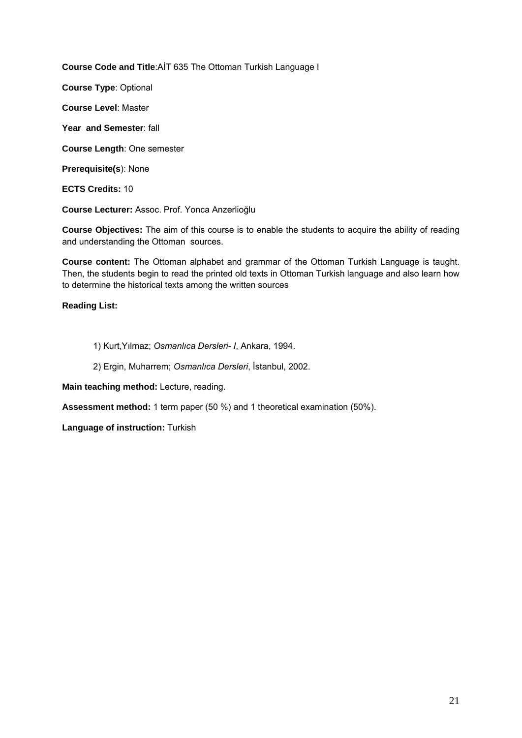**Course Code and Title**:AİT 635 The Ottoman Turkish Language I

**Course Type**: Optional

**Course Level**: Master

**Year and Semester**: fall

**Course Length**: One semester

**Prerequisite(s**): None

**ECTS Credits:** 10

**Course Lecturer:** Assoc. Prof. Yonca Anzerlioğlu

**Course Objectives:** The aim of this course is to enable the students to acquire the ability of reading and understanding the Ottoman sources.

**Course content:** The Ottoman alphabet and grammar of the Ottoman Turkish Language is taught. Then, the students begin to read the printed old texts in Ottoman Turkish language and also learn how to determine the historical texts among the written sources

**Reading List:** 

1) Kurt,Yılmaz; *Osmanlıca Dersleri- I*, Ankara, 1994.

2) Ergin, Muharrem; *Osmanlıca Dersleri*, İstanbul, 2002.

**Main teaching method:** Lecture, reading.

**Assessment method:** 1 term paper (50 %) and 1 theoretical examination (50%).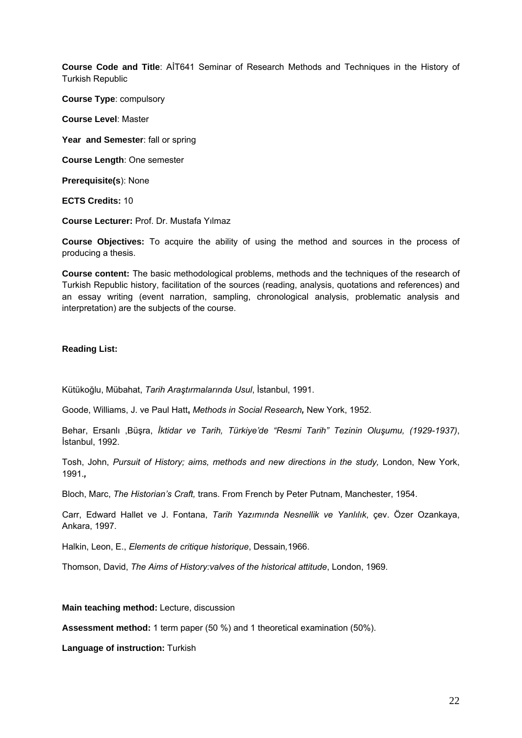**Course Code and Title**: AİT641 Seminar of Research Methods and Techniques in the History of Turkish Republic

**Course Type**: compulsory

**Course Level**: Master

Year and Semester: fall or spring

**Course Length**: One semester

**Prerequisite(s**): None

**ECTS Credits:** 10

**Course Lecturer:** Prof. Dr. Mustafa Yılmaz

**Course Objectives:** To acquire the ability of using the method and sources in the process of producing a thesis.

**Course content:** The basic methodological problems, methods and the techniques of the research of Turkish Republic history, facilitation of the sources (reading, analysis, quotations and references) and an essay writing (event narration, sampling, chronological analysis, problematic analysis and interpretation) are the subjects of the course.

#### **Reading List:**

Kütükoğlu, Mübahat, *Tarih Araştırmalarında Usul*, İstanbul, 1991.

Goode, Williams, J. ve Paul Hatt**,** *Methods in Social Research,* New York, 1952.

Behar, Ersanlı ,Büşra, *İktidar ve Tarih, Türkiye'de "Resmi Tarih" Tezinin Oluşumu, (1929-1937)*, İstanbul, 1992.

Tosh, John, Pursuit of History; aims, methods and new directions in the study, London, New York, 1991.*,* 

Bloch, Marc, *The Historian's Craft,* trans. From French by Peter Putnam, Manchester, 1954.

Carr, Edward Hallet ve J. Fontana, *Tarih Yazımında Nesnellik ve Yanlılık*, çev. Özer Ozankaya, Ankara, 1997.

Halkin, Leon, E., *Elements de critique historique*, Dessain*,*1966.

Thomson, David, *The Aims of History:valves of the historical attitude*, London, 1969.

#### **Main teaching method:** Lecture, discussion

**Assessment method:** 1 term paper (50 %) and 1 theoretical examination (50%).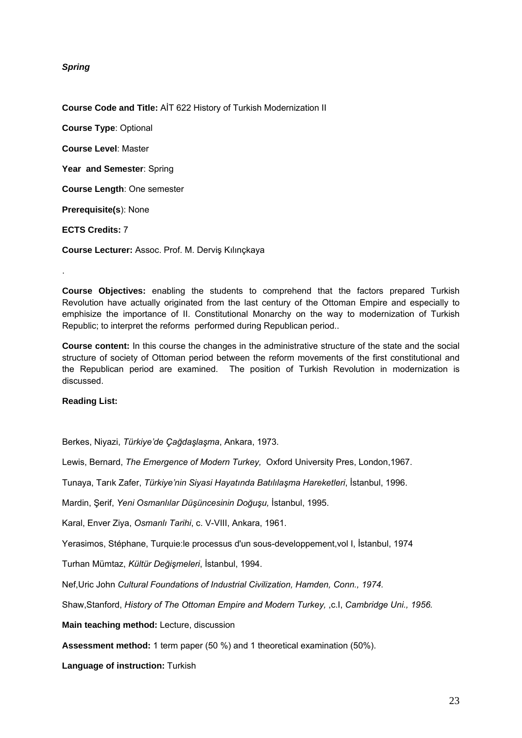*Spring* 

**Course Code and Title:** AİT 622 History of Turkish Modernization II

**Course Type**: Optional **Course Level**: Master **Year and Semester**: Spring **Course Length**: One semester **Prerequisite(s**): None

**ECTS Credits:** 7

.

**Course Lecturer:** Assoc. Prof. M. Derviş Kılınçkaya

**Course Objectives:** enabling the students to comprehend that the factors prepared Turkish Revolution have actually originated from the last century of the Ottoman Empire and especially to emphisize the importance of II. Constitutional Monarchy on the way to modernization of Turkish Republic; to interpret the reforms performed during Republican period..

**Course content:** In this course the changes in the administrative structure of the state and the social structure of society of Ottoman period between the reform movements of the first constitutional and the Republican period are examined. The position of Turkish Revolution in modernization is discussed.

**Reading List:** 

Berkes, Niyazi, *Türkiye'de Çağdaşlaşma*, Ankara, 1973.

Lewis, Bernard, *The Emergence of Modern Turkey,* Oxford University Pres, London,1967.

Tunaya, Tarık Zafer, *Türkiye'nin Siyasi Hayatında Batılılaşma Hareketleri*, İstanbul, 1996.

Mardin, Şerif, *Yeni Osmanlılar Düşüncesinin Doğuşu,* İstanbul, 1995.

Karal, Enver Ziya, *Osmanlı Tarihi*, c. V-VIII, Ankara, 1961.

Yerasimos, Stéphane, Turquie:le processus d'un sous-developpement,vol I, İstanbul, 1974

Turhan Mümtaz, *Kültür Değişmeleri*, İstanbul, 1994.

Nef,Uric John *Cultural Foundations of Industrial Civilization, Hamden, Conn., 1974.*

Shaw,Stanford, *History of The Ottoman Empire and Modern Turkey,* ,c.I, *Cambridge Uni., 1956.*

**Main teaching method:** Lecture, discussion

**Assessment method:** 1 term paper (50 %) and 1 theoretical examination (50%).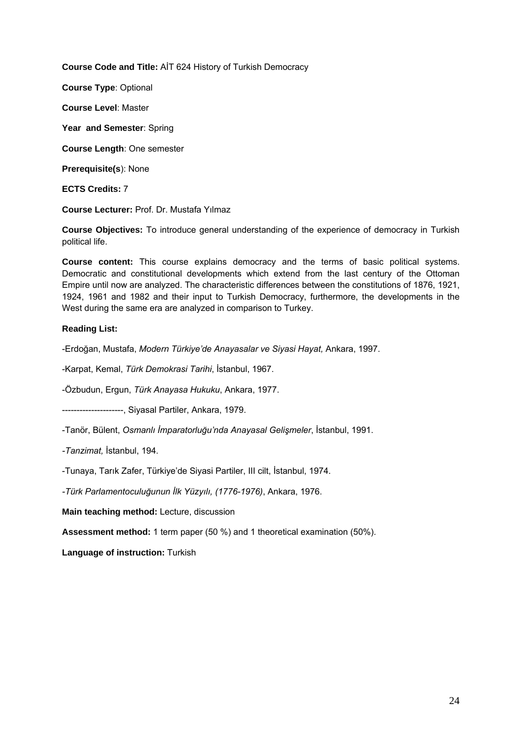**Course Code and Title:** AİT 624 History of Turkish Democracy

**Course Type**: Optional

**Course Level**: Master

**Year and Semester**: Spring

**Course Length**: One semester

**Prerequisite(s**): None

**ECTS Credits:** 7

**Course Lecturer:** Prof. Dr. Mustafa Yılmaz

**Course Objectives:** To introduce general understanding of the experience of democracy in Turkish political life.

**Course content:** This course explains democracy and the terms of basic political systems. Democratic and constitutional developments which extend from the last century of the Ottoman Empire until now are analyzed. The characteristic differences between the constitutions of 1876, 1921, 1924, 1961 and 1982 and their input to Turkish Democracy, furthermore, the developments in the West during the same era are analyzed in comparison to Turkey.

## **Reading List:**

-Erdoğan, Mustafa, *Modern Türkiye'de Anayasalar ve Siyasi Hayat,* Ankara, 1997.

-Karpat, Kemal, *Türk Demokrasi Tarihi*, İstanbul, 1967.

-Özbudun, Ergun, *Türk Anayasa Hukuku*, Ankara, 1977.

---------------------, Siyasal Partiler, Ankara, 1979.

-Tanör, Bülent, *Osmanlı İmparatorluğu'nda Anayasal Gelişmeler*, İstanbul, 1991.

*-Tanzimat,* İstanbul, 194.

-Tunaya, Tarık Zafer, Türkiye'de Siyasi Partiler, III cilt, İstanbul, 1974.

*-Türk Parlamentoculuğunun İlk Yüzyılı, (1776-1976)*, Ankara, 1976.

**Main teaching method:** Lecture, discussion

**Assessment method:** 1 term paper (50 %) and 1 theoretical examination (50%).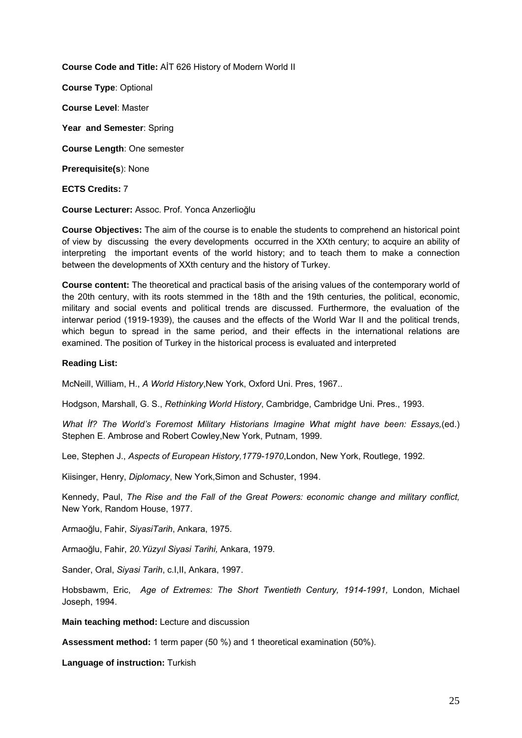**Course Code and Title:** AİT 626 History of Modern World II

**Course Type**: Optional **Course Level**: Master **Year and Semester**: Spring **Course Length**: One semester **Prerequisite(s**): None

**ECTS Credits:** 7

**Course Lecturer:** Assoc. Prof. Yonca Anzerlioğlu

**Course Objectives:** The aim of the course is to enable the students to comprehend an historical point of view by discussing the every developments occurred in the XXth century; to acquire an ability of interpreting the important events of the world history; and to teach them to make a connection between the developments of XXth century and the history of Turkey.

**Course content:** The theoretical and practical basis of the arising values of the contemporary world of the 20th century, with its roots stemmed in the 18th and the 19th centuries, the political, economic, military and social events and political trends are discussed. Furthermore, the evaluation of the interwar period (1919-1939), the causes and the effects of the World War II and the political trends, which begun to spread in the same period, and their effects in the international relations are examined. The position of Turkey in the historical process is evaluated and interpreted

## **Reading List:**

McNeill, William, H., *A World History*,New York, Oxford Uni. Pres, 1967..

Hodgson, Marshall, G. S., *Rethinking World History*, Cambridge, Cambridge Uni. Pres., 1993.

*What İf? The World's Foremost Military Historians Imagine What might have been: Essays,*(ed.) Stephen E. Ambrose and Robert Cowley,New York, Putnam, 1999.

Lee, Stephen J., *Aspects of European History,1779-1970*,London, New York, Routlege, 1992.

Kiisinger, Henry, *Diplomacy*, New York,Simon and Schuster, 1994.

Kennedy, Paul, *The Rise and the Fall of the Great Powers: economic change and military conflict,* New York, Random House, 1977.

Armaoğlu, Fahir, *SiyasiTarih*, Ankara, 1975.

Armaoğlu, Fahir, *20.Yüzyıl Siyasi Tarihi,* Ankara, 1979.

Sander, Oral, *Siyasi Tarih*, c.I,II, Ankara, 1997.

Hobsbawm, Eric, *Age of Extremes: The Short Twentieth Century, 1914-1991,* London, Michael Joseph, 1994.

**Main teaching method:** Lecture and discussion

**Assessment method:** 1 term paper (50 %) and 1 theoretical examination (50%).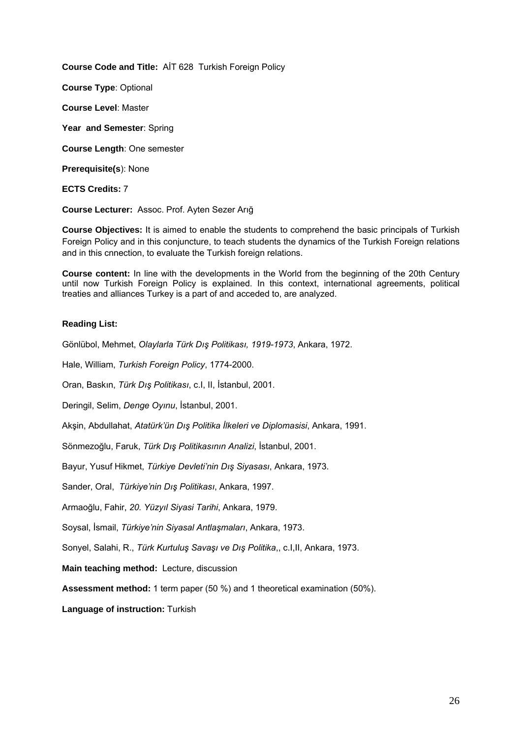**Course Code and Title:** AİT 628 Turkish Foreign Policy

**Course Type**: Optional

**Course Level**: Master

**Year and Semester**: Spring

**Course Length**: One semester

**Prerequisite(s**): None

**ECTS Credits:** 7

**Course Lecturer:** Assoc. Prof. Ayten Sezer Arığ

**Course Objectives:** It is aimed to enable the students to comprehend the basic principals of Turkish Foreign Policy and in this conjuncture, to teach students the dynamics of the Turkish Foreign relations and in this cnnection, to evaluate the Turkish foreign relations.

**Course content:** In line with the developments in the World from the beginning of the 20th Century until now Turkish Foreign Policy is explained. In this context, international agreements, political treaties and alliances Turkey is a part of and acceded to, are analyzed.

## **Reading List:**

Gönlübol, Mehmet, *Olaylarla Türk Dış Politikası, 1919-1973*, Ankara, 1972.

Hale, William, *Turkish Foreign Policy*, 1774-2000.

Oran, Baskın, *Türk Dış Politikası*, c.I, II, İstanbul, 2001.

Deringil, Selim, *Denge Oyınu*, İstanbul, 2001.

Akşin, Abdullahat, *Atatürk'ün Dış Politika İlkeleri ve Diplomasisi*, Ankara, 1991.

Sönmezoğlu, Faruk, *Türk Dış Politikasının Analizi*, İstanbul, 2001.

Bayur, Yusuf Hikmet, *Türkiye Devleti'nin Dış Siyasası*, Ankara, 1973.

Sander, Oral, *Türkiye'nin Dış Politikası*, Ankara, 1997.

Armaoğlu, Fahir, *20. Yüzyıl Siyasi Tarihi*, Ankara, 1979.

Soysal, İsmail, *Türkiye'nin Siyasal Antlaşmaları*, Ankara, 1973.

Sonyel, Salahi, R., *Türk Kurtuluş Savaşı ve Dış Politika*,, c.I,II, Ankara, 1973.

**Main teaching method:** Lecture, discussion

**Assessment method:** 1 term paper (50 %) and 1 theoretical examination (50%).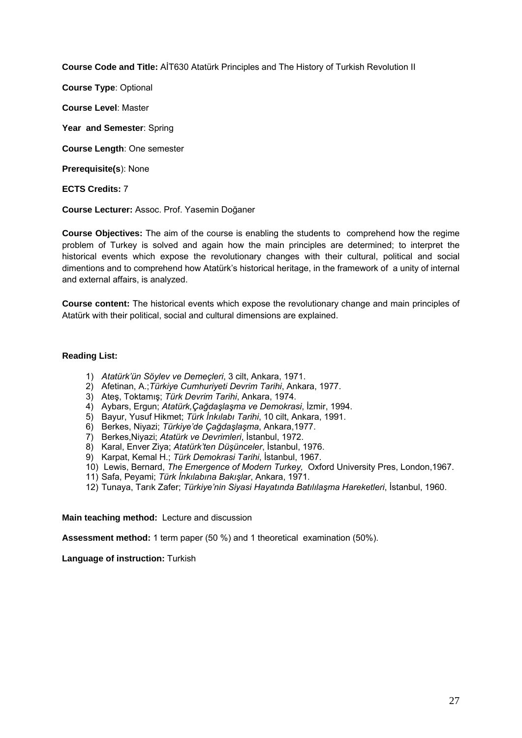**Course Code and Title:** AİT630 Atatürk Principles and The History of Turkish Revolution II

**Course Type**: Optional

**Course Level**: Master

**Year and Semester**: Spring

**Course Length**: One semester

**Prerequisite(s**): None

#### **ECTS Credits:** 7

**Course Lecturer:** Assoc. Prof. Yasemin Doğaner

**Course Objectives:** The aim of the course is enabling the students to comprehend how the regime problem of Turkey is solved and again how the main principles are determined; to interpret the historical events which expose the revolutionary changes with their cultural, political and social dimentions and to comprehend how Atatürk's historical heritage, in the framework of a unity of internal and external affairs, is analyzed.

**Course content:** The historical events which expose the revolutionary change and main principles of Atatürk with their political, social and cultural dimensions are explained.

#### **Reading List:**

- 1) *Atatürk'ün Söylev ve Demeçleri*, 3 cilt, Ankara, 1971.
- 2) Afetinan, A.;*Türkiye Cumhuriyeti Devrim Tarihi*, Ankara, 1977.
- 3) Ateş, Toktamış; *Türk Devrim Tarihi*, Ankara, 1974.
- 4) Aybars, Ergun; *Atatürk,Çağdaşlaşma ve Demokrasi*, İzmir, 1994.
- 5) Bayur, Yusuf Hikmet; *Türk İnkılabı Tarihi*, 10 cilt, Ankara, 1991.
- 6) Berkes, Niyazi; *Türkiye'de Çağdaşlaşma*, Ankara,1977.
- 7) Berkes,Niyazi; *Atatürk ve Devrimleri*, İstanbul, 1972.
- 8) Karal, Enver Ziya; *Atatürk'ten Düşünceler*, İstanbul, 1976.
- 9) Karpat, Kemal H.; *Türk Demokrasi Tarihi*, İstanbul, 1967.
- 10) Lewis, Bernard, *The Emergence of Modern Turkey,* Oxford University Pres, London,1967.
- 11) Safa, Peyami; *Türk İnkılabına Bakışlar*, Ankara, 1971.
- 12) Tunaya, Tarık Zafer; *Türkiye'nin Siyasi Hayatında Batılılaşma Hareketleri*, İstanbul, 1960.

#### **Main teaching method:** Lecture and discussion

**Assessment method:** 1 term paper (50 %) and 1 theoretical examination (50%).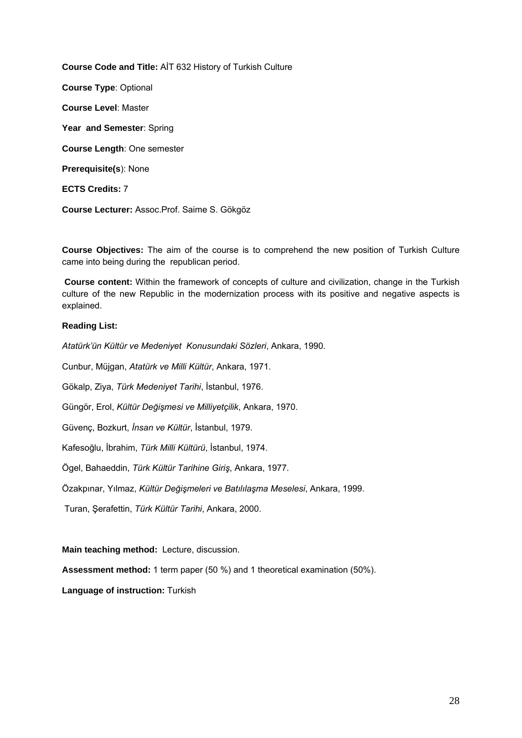**Course Code and Title:** AİT 632 History of Turkish Culture **Course Type**: Optional **Course Level**: Master **Year and Semester**: Spring **Course Length**: One semester **Prerequisite(s**): None **ECTS Credits:** 7 **Course Lecturer:** Assoc.Prof. Saime S. Gökgöz

**Course Objectives:** The aim of the course is to comprehend the new position of Turkish Culture came into being during the republican period.

 **Course content:** Within the framework of concepts of culture and civilization, change in the Turkish culture of the new Republic in the modernization process with its positive and negative aspects is explained.

## **Reading List:**

*Atatürk'ün Kültür ve Medeniyet Konusundaki Sözleri*, Ankara, 1990.

Cunbur, Müjgan, *Atatürk ve Milli Kültür*, Ankara, 1971.

Gökalp, Ziya, *Türk Medeniyet Tarihi*, İstanbul, 1976.

Güngör, Erol, *Kültür Değişmesi ve Milliyetçilik*, Ankara, 1970.

Güvenç, Bozkurt, *İnsan ve Kültür*, İstanbul, 1979.

Kafesoğlu, İbrahim, *Türk Milli Kültürü*, İstanbul, 1974.

Ögel, Bahaeddin, *Türk Kültür Tarihine Giriş*, Ankara, 1977.

Özakpınar, Yılmaz, *Kültür Değişmeleri ve Batılılaşma Meselesi*, Ankara, 1999.

Turan, Şerafettin, *Türk Kültür Tarihi*, Ankara, 2000.

## **Main teaching method:** Lecture, discussion.

**Assessment method:** 1 term paper (50 %) and 1 theoretical examination (50%).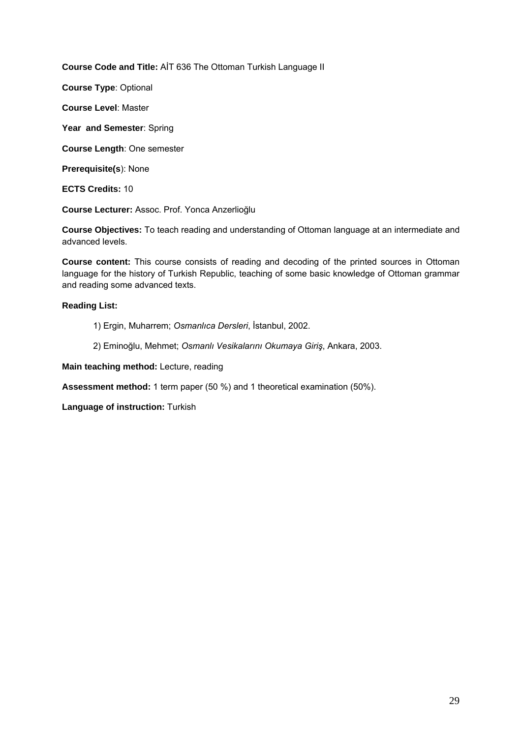**Course Code and Title:** AİT 636 The Ottoman Turkish Language II

**Course Type**: Optional

**Course Level**: Master

**Year and Semester**: Spring

**Course Length**: One semester

**Prerequisite(s**): None

**ECTS Credits:** 10

**Course Lecturer:** Assoc. Prof. Yonca Anzerlioğlu

**Course Objectives:** To teach reading and understanding of Ottoman language at an intermediate and advanced levels.

**Course content:** This course consists of reading and decoding of the printed sources in Ottoman language for the history of Turkish Republic, teaching of some basic knowledge of Ottoman grammar and reading some advanced texts.

## **Reading List:**

1) Ergin, Muharrem; *Osmanlıca Dersleri*, İstanbul, 2002.

2) Eminoğlu, Mehmet; *Osmanlı Vesikalarını Okumaya Giriş*, Ankara, 2003.

**Main teaching method:** Lecture, reading

**Assessment method:** 1 term paper (50 %) and 1 theoretical examination (50%).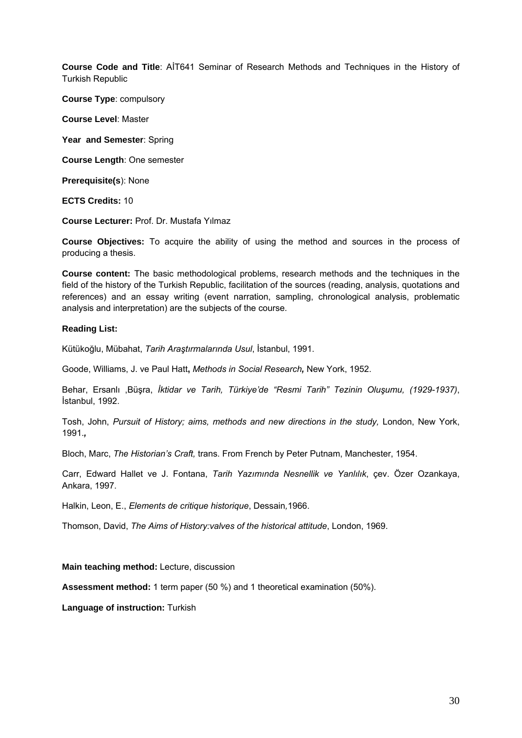**Course Code and Title**: AİT641 Seminar of Research Methods and Techniques in the History of Turkish Republic

**Course Type**: compulsory

**Course Level**: Master

Year and Semester: Spring

**Course Length**: One semester

**Prerequisite(s**): None

**ECTS Credits:** 10

**Course Lecturer:** Prof. Dr. Mustafa Yılmaz

**Course Objectives:** To acquire the ability of using the method and sources in the process of producing a thesis.

**Course content:** The basic methodological problems, research methods and the techniques in the field of the history of the Turkish Republic, facilitation of the sources (reading, analysis, quotations and references) and an essay writing (event narration, sampling, chronological analysis, problematic analysis and interpretation) are the subjects of the course.

#### **Reading List:**

Kütükoğlu, Mübahat, *Tarih Araştırmalarında Usul*, İstanbul, 1991.

Goode, Williams, J. ve Paul Hatt**,** *Methods in Social Research,* New York, 1952.

Behar, Ersanlı ,Büşra, *İktidar ve Tarih, Türkiye'de "Resmi Tarih" Tezinin Oluşumu, (1929-1937)*, İstanbul, 1992.

Tosh, John, Pursuit of History; aims, methods and new directions in the study, London, New York, 1991.*,* 

Bloch, Marc, *The Historian's Craft,* trans. From French by Peter Putnam, Manchester, 1954.

Carr, Edward Hallet ve J. Fontana, *Tarih Yazımında Nesnellik ve Yanlılık*, çev. Özer Ozankaya, Ankara, 1997.

Halkin, Leon, E., *Elements de critique historique*, Dessain*,*1966.

Thomson, David, *The Aims of History:valves of the historical attitude*, London, 1969.

#### **Main teaching method:** Lecture, discussion

**Assessment method:** 1 term paper (50 %) and 1 theoretical examination (50%).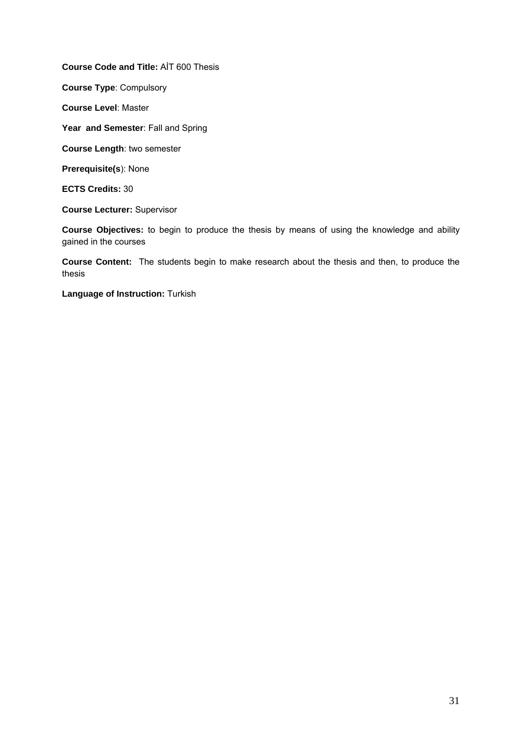**Course Code and Title:** AİT 600 Thesis

**Course Type**: Compulsory

**Course Level**: Master

Year and Semester: Fall and Spring

**Course Length**: two semester

**Prerequisite(s**): None

**ECTS Credits:** 30

**Course Lecturer:** Supervisor

**Course Objectives:** to begin to produce the thesis by means of using the knowledge and ability gained in the courses

**Course Content:** The students begin to make research about the thesis and then, to produce the thesis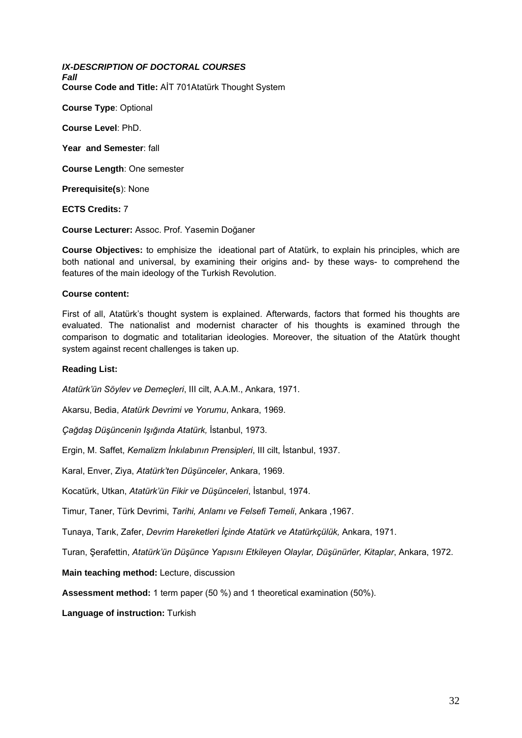*IX-DESCRIPTION OF DOCTORAL COURSES Fall*  **Course Code and Title:** AİT 701Atatürk Thought System

**Course Type**: Optional

**Course Level**: PhD.

**Year and Semester**: fall

**Course Length**: One semester

**Prerequisite(s**): None

**ECTS Credits:** 7

**Course Lecturer:** Assoc. Prof. Yasemin Doğaner

**Course Objectives:** to emphisize the ideational part of Atatürk, to explain his principles, which are both national and universal, by examining their origins and- by these ways- to comprehend the features of the main ideology of the Turkish Revolution.

#### **Course content:**

First of all, Atatürk's thought system is explained. Afterwards, factors that formed his thoughts are evaluated. The nationalist and modernist character of his thoughts is examined through the comparison to dogmatic and totalitarian ideologies. Moreover, the situation of the Atatürk thought system against recent challenges is taken up.

#### **Reading List:**

*Atatürk'ün Söylev ve Demeçleri*, III cilt, A.A.M., Ankara, 1971.

Akarsu, Bedia, *Atatürk Devrimi ve Yorumu*, Ankara, 1969.

*Çağdaş Düşüncenin Işığında Atatürk,* İstanbul, 1973.

Ergin, M. Saffet, *Kemalizm İnkılabının Prensipleri*, III cilt, İstanbul, 1937.

Karal, Enver, Ziya, *Atatürk'ten Düşünceler*, Ankara, 1969.

Kocatürk, Utkan, *Atatürk'ün Fikir ve Düşünceleri*, İstanbul, 1974.

Timur, Taner, Türk Devrimi, *Tarihi, Anlamı ve Felsefi Temeli*, Ankara ,1967.

Tunaya, Tarık, Zafer, *Devrim Hareketleri İçinde Atatürk ve Atatürkçülük,* Ankara, 1971.

Turan, Şerafettin, *Atatürk'ün Düşünce Yapısını Etkileyen Olaylar, Düşünürler, Kitaplar*, Ankara, 1972.

**Main teaching method:** Lecture, discussion

**Assessment method:** 1 term paper (50 %) and 1 theoretical examination (50%).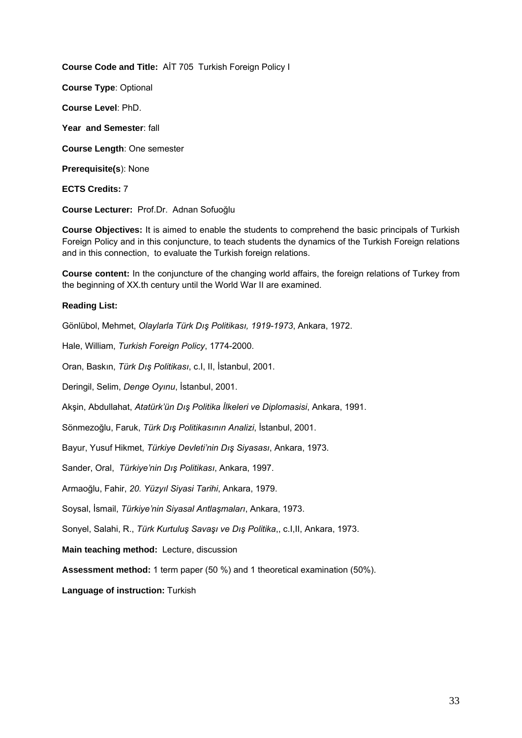**Course Code and Title:** AİT 705 Turkish Foreign Policy I **Course Type**: Optional **Course Level**: PhD. **Year and Semester**: fall **Course Length**: One semester **Prerequisite(s**): None **ECTS Credits:** 7

**Course Lecturer:** Prof.Dr. Adnan Sofuoğlu

**Course Objectives:** It is aimed to enable the students to comprehend the basic principals of Turkish Foreign Policy and in this conjuncture, to teach students the dynamics of the Turkish Foreign relations and in this connection, to evaluate the Turkish foreign relations.

**Course content:** In the conjuncture of the changing world affairs, the foreign relations of Turkey from the beginning of XX.th century until the World War II are examined.

## **Reading List:**

Gönlübol, Mehmet, *Olaylarla Türk Dış Politikası, 1919-1973*, Ankara, 1972.

Hale, William, *Turkish Foreign Policy*, 1774-2000.

Oran, Baskın, *Türk Dış Politikası*, c.I, II, İstanbul, 2001.

Deringil, Selim, *Denge Oyınu*, İstanbul, 2001.

Akşin, Abdullahat, *Atatürk'ün Dış Politika İlkeleri ve Diplomasisi*, Ankara, 1991.

Sönmezoğlu, Faruk, *Türk Dış Politikasının Analizi*, İstanbul, 2001.

Bayur, Yusuf Hikmet, *Türkiye Devleti'nin Dış Siyasası*, Ankara, 1973.

Sander, Oral, *Türkiye'nin Dış Politikası*, Ankara, 1997.

Armaoğlu, Fahir, *20. Yüzyıl Siyasi Tarihi*, Ankara, 1979.

Soysal, İsmail, *Türkiye'nin Siyasal Antlaşmaları*, Ankara, 1973.

Sonyel, Salahi, R., *Türk Kurtuluş Savaşı ve Dış Politika*,, c.I,II, Ankara, 1973.

**Main teaching method:** Lecture, discussion

**Assessment method:** 1 term paper (50 %) and 1 theoretical examination (50%).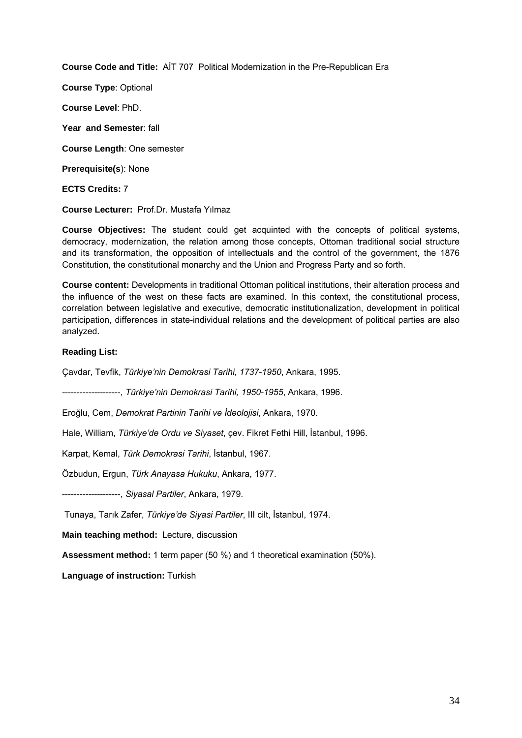**Course Code and Title:** AİT 707 Political Modernization in the Pre-Republican Era

**Course Type**: Optional

**Course Level**: PhD.

**Year and Semester**: fall

**Course Length**: One semester

**Prerequisite(s**): None

**ECTS Credits:** 7

**Course Lecturer:** Prof.Dr. Mustafa Yılmaz

**Course Objectives:** The student could get acquinted with the concepts of political systems, democracy, modernization, the relation among those concepts, Ottoman traditional social structure and its transformation, the opposition of intellectuals and the control of the government, the 1876 Constitution, the constitutional monarchy and the Union and Progress Party and so forth.

**Course content:** Developments in traditional Ottoman political institutions, their alteration process and the influence of the west on these facts are examined. In this context, the constitutional process, correlation between legislative and executive, democratic institutionalization, development in political participation, differences in state-individual relations and the development of political parties are also analyzed.

## **Reading List:**

Çavdar, Tevfik, *Türkiye'nin Demokrasi Tarihi, 1737-1950*, Ankara, 1995.

--------------------, *Türkiye'nin Demokrasi Tarihi, 1950-1955*, Ankara, 1996.

Eroğlu, Cem, *Demokrat Partinin Tarihi ve İdeolojisi*, Ankara, 1970.

Hale, William, *Türkiye'de Ordu ve Siyaset*, çev. Fikret Fethi Hill, İstanbul, 1996.

Karpat, Kemal, *Türk Demokrasi Tarihi*, İstanbul, 1967.

Özbudun, Ergun, *Türk Anayasa Hukuku*, Ankara, 1977.

--------------------, *Siyasal Partiler*, Ankara, 1979.

Tunaya, Tarık Zafer, *Türkiye'de Siyasi Partiler*, III cilt, İstanbul, 1974.

**Main teaching method:** Lecture, discussion

**Assessment method:** 1 term paper (50 %) and 1 theoretical examination (50%).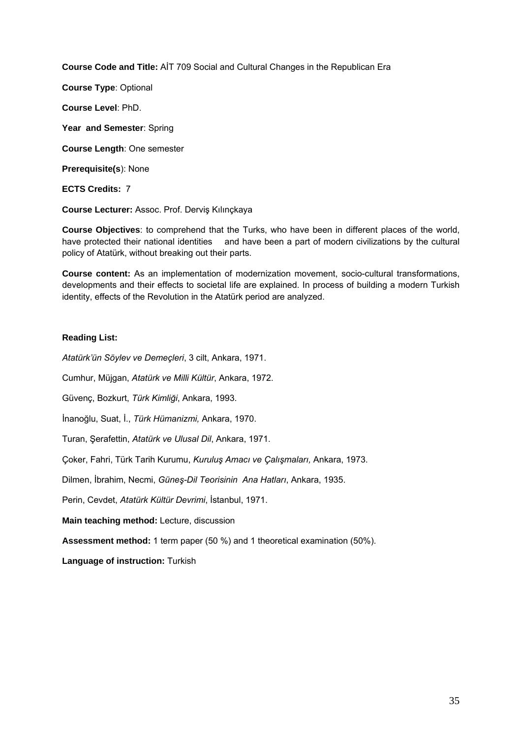**Course Code and Title:** AİT 709 Social and Cultural Changes in the Republican Era

**Course Type**: Optional

**Course Level**: PhD.

**Year and Semester**: Spring

**Course Length**: One semester

**Prerequisite(s**): None

**ECTS Credits:** 7

**Course Lecturer:** Assoc. Prof. Derviş Kılınçkaya

**Course Objectives**: to comprehend that the Turks, who have been in different places of the world, have protected their national identities and have been a part of modern civilizations by the cultural policy of Atatürk, without breaking out their parts.

**Course content:** As an implementation of modernization movement, socio-cultural transformations, developments and their effects to societal life are explained. In process of building a modern Turkish identity, effects of the Revolution in the Atatürk period are analyzed.

# **Reading List:**

*Atatürk'ün Söylev ve Demeçleri*, 3 cilt, Ankara, 1971.

Cumhur, Müjgan, *Atatürk ve Milli Kültür*, Ankara, 1972.

Güvenç, Bozkurt, *Türk Kimliği*, Ankara, 1993.

İnanoğlu, Suat, İ., *Türk Hümanizmi,* Ankara, 1970.

Turan, Şerafettin, *Atatürk ve Ulusal Dil*, Ankara, 1971.

Çoker, Fahri, Türk Tarih Kurumu, *Kuruluş Amacı ve Çalışmaları,* Ankara, 1973.

Dilmen, İbrahim, Necmi, *Güneş-Dil Teorisinin Ana Hatları*, Ankara, 1935.

Perin, Cevdet, *Atatürk Kültür Devrimi*, İstanbul, 1971.

**Main teaching method:** Lecture, discussion

**Assessment method:** 1 term paper (50 %) and 1 theoretical examination (50%).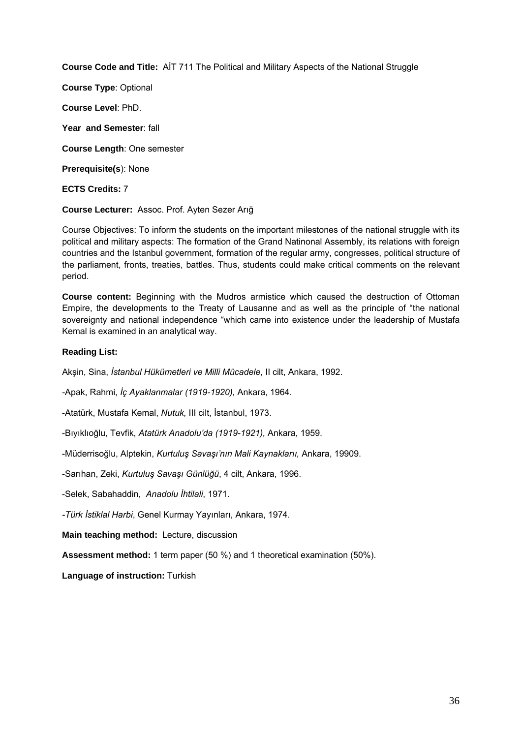**Course Code and Title:** AİT 711 The Political and Military Aspects of the National Struggle

**Course Type**: Optional

**Course Level**: PhD.

**Year and Semester**: fall

**Course Length**: One semester

**Prerequisite(s**): None

**ECTS Credits:** 7

**Course Lecturer:** Assoc. Prof. Ayten Sezer Arığ

Course Objectives: To inform the students on the important milestones of the national struggle with its political and military aspects: The formation of the Grand Natinonal Assembly, its relations with foreign countries and the Istanbul government, formation of the regular army, congresses, political structure of the parliament, fronts, treaties, battles. Thus, students could make critical comments on the relevant period.

**Course content:** Beginning with the Mudros armistice which caused the destruction of Ottoman Empire, the developments to the Treaty of Lausanne and as well as the principle of "the national sovereignty and national independence "which came into existence under the leadership of Mustafa Kemal is examined in an analytical way.

## **Reading List:**

Akşin, Sina, *İstanbul Hükümetleri ve Milli Mücadele*, II cilt, Ankara, 1992.

-Apak, Rahmi, *İç Ayaklanmalar (1919-1920),* Ankara, 1964.

-Atatürk, Mustafa Kemal, *Nutuk,* III cilt, İstanbul, 1973.

-Bıyıklıoğlu, Tevfik, *Atatürk Anadolu'da (1919-1921),* Ankara, 1959.

-Müderrisoğlu, Alptekin, *Kurtuluş Savaşı'nın Mali Kaynaklarıı,* Ankara, 19909.

-Sarıhan, Zeki, *Kurtuluş Savaşı Günlüğü*, 4 cilt, Ankara, 1996.

-Selek, Sabahaddin, *Anadolu İhtilali*, 1971.

*-Türk İstiklal Harbi*, Genel Kurmay Yayınları, Ankara, 1974.

**Main teaching method:** Lecture, discussion

**Assessment method:** 1 term paper (50 %) and 1 theoretical examination (50%).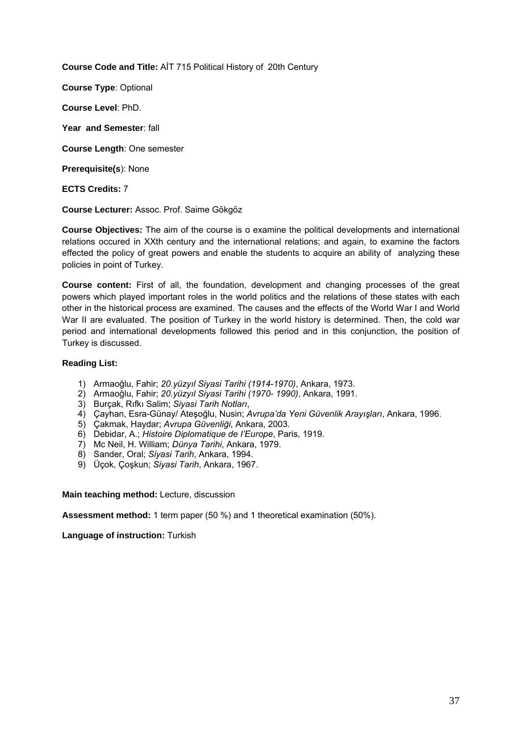**Course Code and Title:** AİT 715 Political History of 20th Century

**Course Type**: Optional

**Course Level**: PhD.

**Year and Semester**: fall

**Course Length**: One semester

**Prerequisite(s**): None

## **ECTS Credits:** 7

**Course Lecturer:** Assoc. Prof. Saime Gökgöz

**Course Objectives:** The aim of the course is o examine the political developments and international relations occured in XXth century and the international relations; and again, to examine the factors effected the policy of great powers and enable the students to acquire an ability of analyzing these policies in point of Turkey.

**Course content:** First of all, the foundation, development and changing processes of the great powers which played important roles in the world politics and the relations of these states with each other in the historical process are examined. The causes and the effects of the World War I and World War II are evaluated. The position of Turkey in the world history is determined. Then, the cold war period and international developments followed this period and in this conjunction, the position of Turkey is discussed.

## **Reading List:**

- 1) Armaoğlu, Fahir; *20.yüzyıl Siyasi Tarihi (1914-1970)*, Ankara, 1973.
- 2) Armaoğlu, Fahir; *20.yüzyıl Siyasi Tarihi (1970- 1990)*, Ankara, 1991.
- 3) Burçak, Rıfkı Salim; *Siyasi Tarih Notları*,
- 4) Çayhan, Esra-Günay/ Ateşoğlu, Nusin; *Avrupa'da Yeni Güvenlik Arayışları*, Ankara, 1996.
- 5) Çakmak, Haydar; *Avrupa Güvenliği*, Ankara, 2003.
- 6) Debidar, A.; *Histoire Diplomatique de I'Europe*, Paris, 1919.
- 7) Mc Neil, H. William; *Dünya Tarihi*, Ankara, 1979.
- 8) Sander, Oral; *Siyasi Tarih*, Ankara, 1994.
- 9) Üçok, Çoşkun; *Siyasi Tarih*, Ankara, 1967.

**Main teaching method:** Lecture, discussion

**Assessment method:** 1 term paper (50 %) and 1 theoretical examination (50%).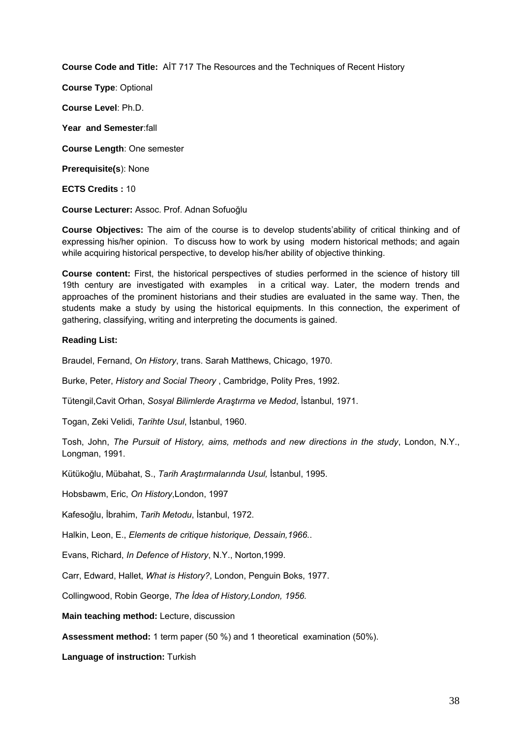**Course Code and Title:** AİT 717 The Resources and the Techniques of Recent History

**Course Type**: Optional

**Course Level**: Ph.D.

**Year and Semester**:fall

**Course Length**: One semester

**Prerequisite(s**): None

**ECTS Credits :** 10

**Course Lecturer:** Assoc. Prof. Adnan Sofuoğlu

**Course Objectives:** The aim of the course is to develop students'ability of critical thinking and of expressing his/her opinion. To discuss how to work by using modern historical methods; and again while acquiring historical perspective, to develop his/her ability of objective thinking.

**Course content:** First, the historical perspectives of studies performed in the science of history till 19th century are investigated with examples in a critical way. Later, the modern trends and approaches of the prominent historians and their studies are evaluated in the same way. Then, the students make a study by using the historical equipments. In this connection, the experiment of gathering, classifying, writing and interpreting the documents is gained.

### **Reading List:**

Braudel, Fernand, *On History*, trans. Sarah Matthews, Chicago, 1970.

Burke, Peter, *History and Social Theory* , Cambridge, Polity Pres, 1992.

Tütengil,Cavit Orhan, *Sosyal Bilimlerde Araştırma ve Medod*, İstanbul, 1971.

Togan, Zeki Velidi, *Tarihte Usul*, İstanbul, 1960.

Tosh, John, *The Pursuit of History, aims, methods and new directions in the study*, London, N.Y., Longman, 1991.

Kütükoğlu, Mübahat, S., *Tarih Araştırmalarında Usul,* İstanbul, 1995.

Hobsbawm, Eric, *On History*,London, 1997

Kafesoğlu, İbrahim, *Tarih Metodu*, İstanbul, 1972.

Halkin, Leon, E., *Elements de critique historique, Dessain,1966.*.

Evans, Richard, *In Defence of History*, N.Y., Norton,1999.

Carr, Edward, Hallet, *What is History?*, London, Penguin Boks, 1977.

Collingwood, Robin George, *The İdea of History,London, 1956.* 

**Main teaching method:** Lecture, discussion

**Assessment method:** 1 term paper (50 %) and 1 theoretical examination (50%).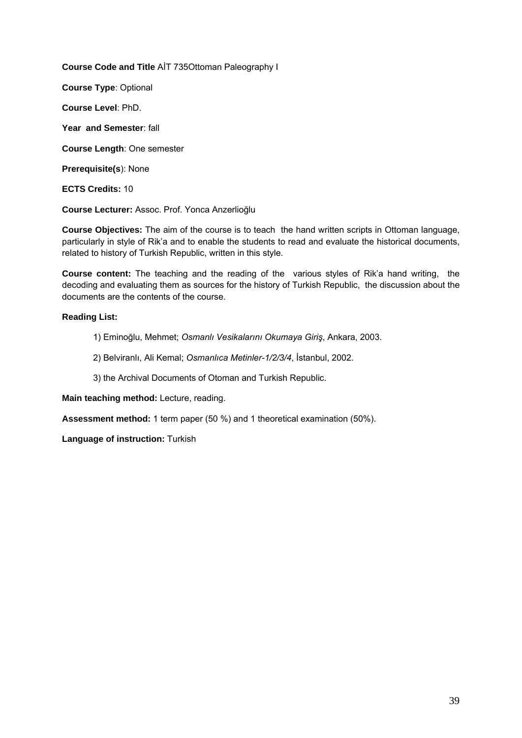**Course Code and Title** AİT 735Ottoman Paleography I

**Course Type**: Optional

**Course Level**: PhD.

**Year and Semester**: fall

**Course Length**: One semester

**Prerequisite(s**): None

**ECTS Credits:** 10

**Course Lecturer:** Assoc. Prof. Yonca Anzerlioğlu

**Course Objectives:** The aim of the course is to teach the hand written scripts in Ottoman language, particularly in style of Rik'a and to enable the students to read and evaluate the historical documents, related to history of Turkish Republic, written in this style.

**Course content:** The teaching and the reading of the various styles of Rik'a hand writing, the decoding and evaluating them as sources for the history of Turkish Republic, the discussion about the documents are the contents of the course.

## **Reading List:**

- 1) Eminoğlu, Mehmet; *Osmanlı Vesikalarını Okumaya Giriş*, Ankara, 2003.
- 2) Belviranlı, Ali Kemal; *Osmanlıca Metinler-1/2/3/4*, İstanbul, 2002.
- 3) the Archival Documents of Otoman and Turkish Republic.

**Main teaching method:** Lecture, reading.

**Assessment method:** 1 term paper (50 %) and 1 theoretical examination (50%).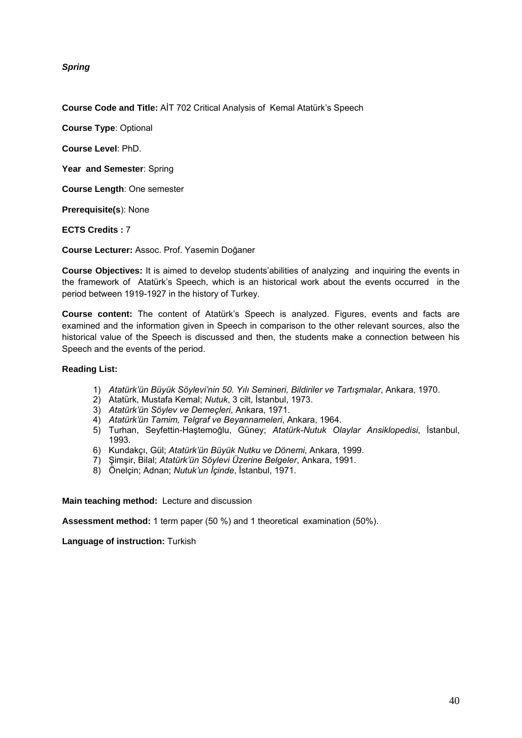*Spring* 

**Course Code and Title:** AİT 702 Critical Analysis of Kemal Atatürk's Speech

**Course Type**: Optional

**Course Level**: PhD.

**Year and Semester**: Spring

**Course Length**: One semester

**Prerequisite(s**): None

**ECTS Credits :** 7

**Course Lecturer:** Assoc. Prof. Yasemin Doğaner

**Course Objectives:** It is aimed to develop students'abilities of analyzing and inquiring the events in the framework of Atatürk's Speech, which is an historical work about the events occurred in the period between 1919-1927 in the history of Turkey.

**Course content:** The content of Atatürk's Speech is analyzed. Figures, events and facts are examined and the information given in Speech in comparison to the other relevant sources, also the historical value of the Speech is discussed and then, the students make a connection between his Speech and the events of the period.

## **Reading List:**

- 1) *Atatürk'ün Büyük Söylevi'nin 50. Yılı Semineri, Bildiriler ve Tartışmalar*, Ankara, 1970.
- 2) Atatürk, Mustafa Kemal; *Nutuk*, 3 cilt, İstanbul, 1973.
- 3) *Atatürk'ün Söylev ve Demeçleri*, Ankara, 1971.
- 4) *Atatürk'ün Tamim, Telgraf ve Beyannameleri*, Ankara, 1964.
- 5) Turhan, Seyfettin-Haştemoğlu, Güney; *Atatürk-Nutuk Olaylar Ansiklopedisi*, İstanbul, 1993.
- 6) Kundakçı, Gül; *Atatürk'ün Büyük Nutku ve Dönemi*, Ankara, 1999.
- 7) Şimşir, Bilal; *Atatürk'ün Söylevi Üzerine Belgeler*, Ankara, 1991.
- 8) Önelçin; Adnan; *Nutuk'un İçinde*, İstanbul, 1971.

**Main teaching method:** Lecture and discussion

**Assessment method:** 1 term paper (50 %) and 1 theoretical examination (50%).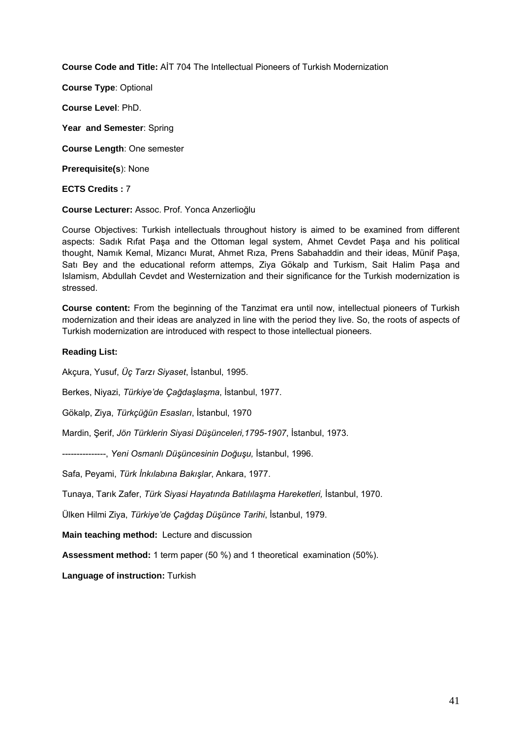**Course Code and Title:** AİT 704 The Intellectual Pioneers of Turkish Modernization

**Course Type**: Optional

**Course Level**: PhD.

**Year and Semester**: Spring

**Course Length**: One semester

**Prerequisite(s**): None

#### **ECTS Credits :** 7

**Course Lecturer:** Assoc. Prof. Yonca Anzerlioğlu

Course Objectives: Turkish intellectuals throughout history is aimed to be examined from different aspects: Sadık Rıfat Paşa and the Ottoman legal system, Ahmet Cevdet Paşa and his political thought, Namık Kemal, Mizancı Murat, Ahmet Rıza, Prens Sabahaddin and their ideas, Münif Paşa, Satı Bey and the educational reform attemps, Ziya Gökalp and Turkism, Sait Halim Paşa and Islamism, Abdullah Cevdet and Westernization and their significance for the Turkish modernization is stressed.

**Course content:** From the beginning of the Tanzimat era until now, intellectual pioneers of Turkish modernization and their ideas are analyzed in line with the period they live. So, the roots of aspects of Turkish modernization are introduced with respect to those intellectual pioneers.

#### **Reading List:**

Akçura, Yusuf, *Üç Tarzı Siyaset*, İstanbul, 1995.

Berkes, Niyazi, *Türkiye'de Çağdaşlaşma*, İstanbul, 1977.

Gökalp, Ziya, *Türkçüğün Esasları*, İstanbul, 1970

Mardin, Şerif, *Jön Türklerin Siyasi Düşünceleri,1795-1907*, İstanbul, 1973.

---------------, *Yeni Osmanlı Düşüncesinin Doğuşu,* İstanbul, 1996.

Safa, Peyami, *Türk İnkılabına Bakışlar*, Ankara, 1977.

Tunaya, Tarık Zafer, *Türk Siyasi Hayatında Batılılaşma Hareketleri,* İstanbul, 1970.

Ülken Hilmi Ziya, *Türkiye'de Çağdaş Düşünce Tarihi*, İstanbul, 1979.

**Main teaching method:** Lecture and discussion

**Assessment method:** 1 term paper (50 %) and 1 theoretical examination (50%).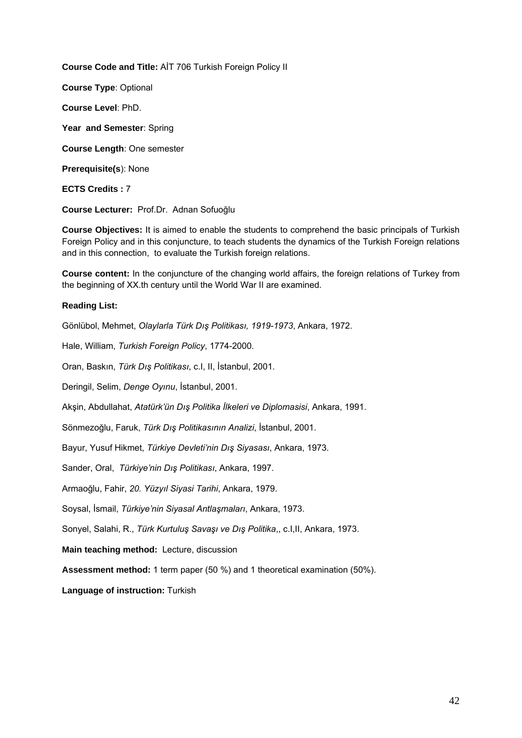**Course Code and Title:** AİT 706 Turkish Foreign Policy II

**Course Type**: Optional

**Course Level**: PhD.

**Year and Semester**: Spring

**Course Length**: One semester

**Prerequisite(s**): None

**ECTS Credits :** 7

**Course Lecturer:** Prof.Dr. Adnan Sofuoğlu

**Course Objectives:** It is aimed to enable the students to comprehend the basic principals of Turkish Foreign Policy and in this conjuncture, to teach students the dynamics of the Turkish Foreign relations and in this connection, to evaluate the Turkish foreign relations.

**Course content:** In the conjuncture of the changing world affairs, the foreign relations of Turkey from the beginning of XX.th century until the World War II are examined.

## **Reading List:**

Gönlübol, Mehmet, *Olaylarla Türk Dış Politikası, 1919-1973*, Ankara, 1972.

Hale, William, *Turkish Foreign Policy*, 1774-2000.

Oran, Baskın, *Türk Dış Politikası*, c.I, II, İstanbul, 2001.

Deringil, Selim, *Denge Oyınu*, İstanbul, 2001.

Akşin, Abdullahat, *Atatürk'ün Dış Politika İlkeleri ve Diplomasisi*, Ankara, 1991.

Sönmezoğlu, Faruk, *Türk Dış Politikasının Analizi*, İstanbul, 2001.

Bayur, Yusuf Hikmet, *Türkiye Devleti'nin Dış Siyasası*, Ankara, 1973.

Sander, Oral, *Türkiye'nin Dış Politikası*, Ankara, 1997.

Armaoğlu, Fahir, *20. Yüzyıl Siyasi Tarihi*, Ankara, 1979.

Soysal, İsmail, *Türkiye'nin Siyasal Antlaşmaları*, Ankara, 1973.

Sonyel, Salahi, R., *Türk Kurtuluş Savaşı ve Dış Politika*,, c.I,II, Ankara, 1973.

**Main teaching method:** Lecture, discussion

**Assessment method:** 1 term paper (50 %) and 1 theoretical examination (50%).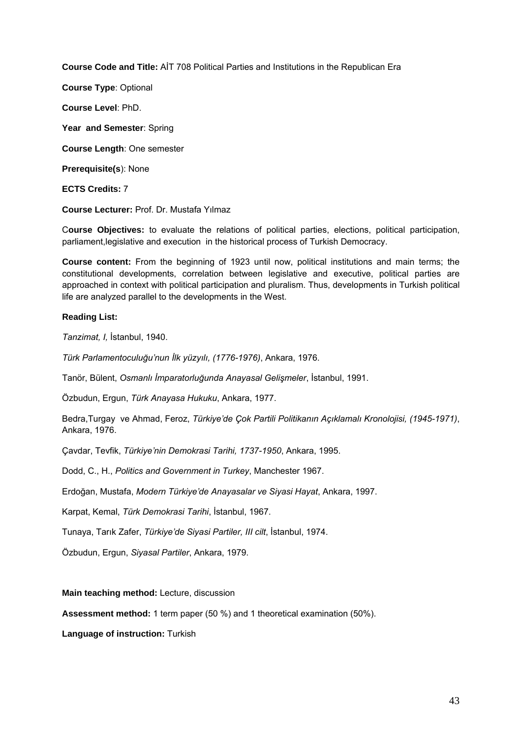**Course Code and Title:** AİT 708 Political Parties and Institutions in the Republican Era

**Course Type**: Optional

**Course Level**: PhD.

**Year and Semester**: Spring

**Course Length**: One semester

**Prerequisite(s**): None

**ECTS Credits:** 7

**Course Lecturer:** Prof. Dr. Mustafa Yılmaz

C**ourse Objectives:** to evaluate the relations of political parties, elections, political participation, parliament,legislative and execution in the historical process of Turkish Democracy.

**Course content:** From the beginning of 1923 until now, political institutions and main terms; the constitutional developments, correlation between legislative and executive, political parties are approached in context with political participation and pluralism. Thus, developments in Turkish political life are analyzed parallel to the developments in the West.

#### **Reading List:**

*Tanzimat, I,* İstanbul, 1940.

*Türk Parlamentoculuğu'nun İlk yüzyılı, (1776-1976)*, Ankara, 1976.

Tanör, Bülent, *Osmanlı İmparatorluğunda Anayasal Gelişmeler*, İstanbul, 1991.

Özbudun, Ergun, *Türk Anayasa Hukuku*, Ankara, 1977.

Bedra,Turgay ve Ahmad, Feroz, *Türkiye'de Çok Partili Politikanın Açıklamalı Kronolojisi, (1945-1971)*, Ankara, 1976.

Çavdar, Tevfik, *Türkiye'nin Demokrasi Tarihi, 1737-1950*, Ankara, 1995.

Dodd, C., H., *Politics and Government in Turkey*, Manchester 1967.

Erdoğan, Mustafa, *Modern Türkiye'de Anayasalar ve Siyasi Hayat*, Ankara, 1997.

Karpat, Kemal, *Türk Demokrasi Tarihi*, İstanbul, 1967.

Tunaya, Tarık Zafer, *Türkiye'de Siyasi Partiler, III cilt*, İstanbul, 1974.

Özbudun, Ergun, *Siyasal Partiler*, Ankara, 1979.

#### **Main teaching method:** Lecture, discussion

**Assessment method:** 1 term paper (50 %) and 1 theoretical examination (50%).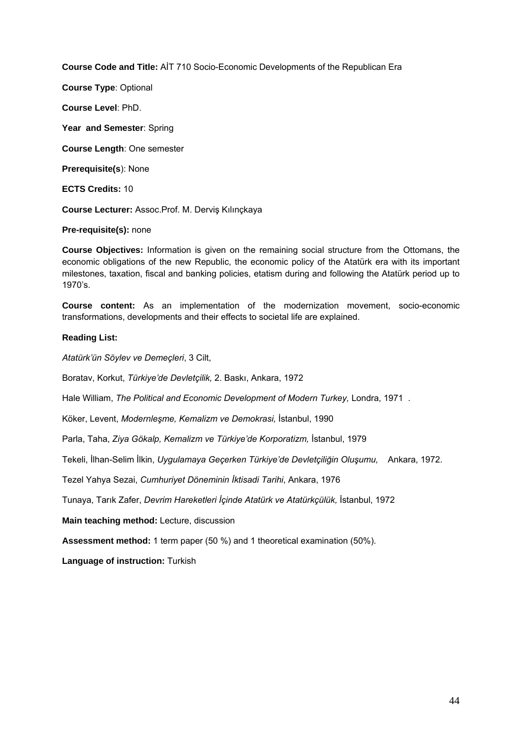**Course Code and Title:** AİT 710 Socio-Economic Developments of the Republican Era

**Course Type**: Optional

**Course Level**: PhD.

**Year and Semester**: Spring

**Course Length**: One semester

**Prerequisite(s**): None

**ECTS Credits:** 10

**Course Lecturer:** Assoc.Prof. M. Derviş Kılınçkaya

## **Pre-requisite(s):** none

**Course Objectives:** Information is given on the remaining social structure from the Ottomans, the economic obligations of the new Republic, the economic policy of the Atatürk era with its important milestones, taxation, fiscal and banking policies, etatism during and following the Atatürk period up to 1970's.

**Course content:** As an implementation of the modernization movement, socio-economic transformations, developments and their effects to societal life are explained.

## **Reading List:**

*Atatürk'ün Söylev ve Demeçleri*, 3 Cilt,

Boratav, Korkut, *Türkiye'de Devletçilik,* 2. Baskı, Ankara, 1972

Hale William, *The Political and Economic Development of Modern Turkey,* Londra, 1971 .

Köker, Levent, *Modernleşme, Kemalizm ve Demokrasi,* İstanbul, 1990

Parla, Taha, *Ziya Gökalp, Kemalizm ve Türkiye'de Korporatizm,* İstanbul, 1979

Tekeli, İlhan-Selim İlkin, *Uygulamaya Geçerken Türkiye'de Devletçiliğin Oluşumu,* Ankara, 1972.

Tezel Yahya Sezai, *Cumhuriyet Döneminin İktisadi Tarihi*, Ankara, 1976

Tunaya, Tarık Zafer, *Devrim Hareketleri İçinde Atatürk ve Atatürkçülük,* İstanbul, 1972

**Main teaching method:** Lecture, discussion

**Assessment method:** 1 term paper (50 %) and 1 theoretical examination (50%).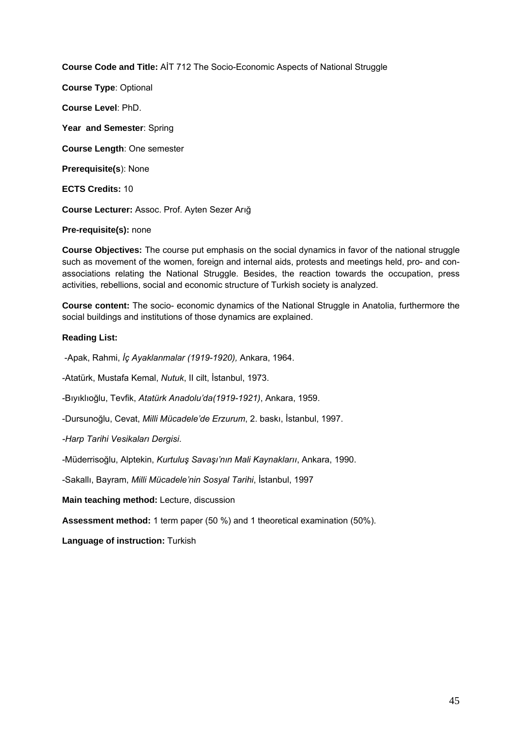**Course Code and Title:** AİT 712 The Socio-Economic Aspects of National Struggle

**Course Type**: Optional **Course Level**: PhD. **Year and Semester**: Spring **Course Length**: One semester **Prerequisite(s**): None **ECTS Credits:** 10 **Course Lecturer:** Assoc. Prof. Ayten Sezer Arığ

## **Pre-requisite(s):** none

**Course Objectives:** The course put emphasis on the social dynamics in favor of the national struggle such as movement of the women, foreign and internal aids, protests and meetings held, pro- and conassociations relating the National Struggle. Besides, the reaction towards the occupation, press activities, rebellions, social and economic structure of Turkish society is analyzed.

**Course content:** The socio- economic dynamics of the National Struggle in Anatolia, furthermore the social buildings and institutions of those dynamics are explained.

#### **Reading List:**

-Apak, Rahmi, *İç Ayaklanmalar (1919-1920),* Ankara, 1964.

-Atatürk, Mustafa Kemal, *Nutuk*, II cilt, İstanbul, 1973.

-Bıyıklıoğlu, Tevfik, *Atatürk Anadolu'da(1919-1921)*, Ankara, 1959.

-Dursunoğlu, Cevat, *Milli Mücadele'de Erzurum*, 2. baskı, İstanbul, 1997.

*-Harp Tarihi Vesikaları Dergisi*.

-Müderrisoğlu, Alptekin, *Kurtuluş Savaşı'nın Mali Kaynaklarıı*, Ankara, 1990.

-Sakallı, Bayram, *Milli Mücadele'nin Sosyal Tarihi*, İstanbul, 1997

**Main teaching method:** Lecture, discussion

**Assessment method:** 1 term paper (50 %) and 1 theoretical examination (50%).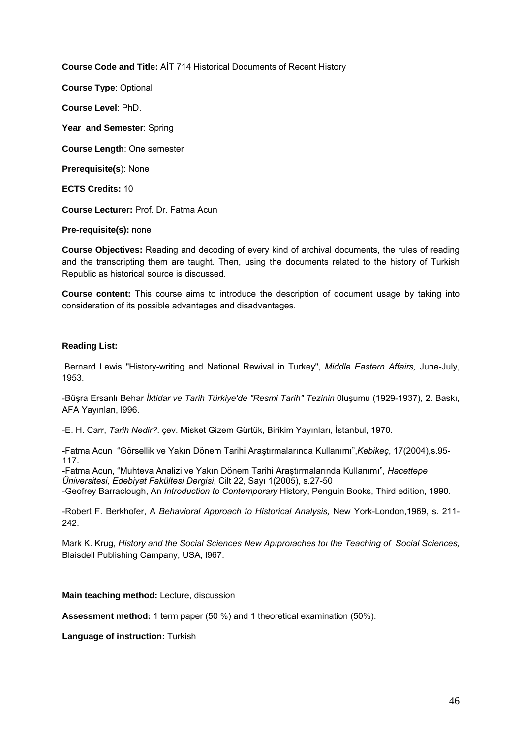**Course Code and Title:** AİT 714 Historical Documents of Recent History

**Course Type**: Optional

**Course Level**: PhD.

**Year and Semester**: Spring

**Course Length**: One semester

**Prerequisite(s**): None

**ECTS Credits:** 10

**Course Lecturer:** Prof. Dr. Fatma Acun

## **Pre-requisite(s):** none

**Course Objectives:** Reading and decoding of every kind of archival documents, the rules of reading and the transcripting them are taught. Then, using the documents related to the history of Turkish Republic as historical source is discussed.

**Course content:** This course aims to introduce the description of document usage by taking into consideration of its possible advantages and disadvantages.

#### **Reading List:**

Bernard Lewis "History-writing and National Rewival in Turkey", *Middle Eastern Affairs,* June-July, 1953.

-Büşra Ersanlı Behar *İktidar ve Tarih Türkiye'de "Resmi Tarih" Tezinin* 0luşumu (1929-1937), 2. Baskı, AFA Yayınlan, l996.

-E. H. Carr, *Tarih Nedir?*. çev. Misket Gizem Gürtük, Birikim Yayınları, İstanbul, 1970.

-Fatma Acun "Görsellik ve Yakın Dönem Tarihi Araştırmalarında Kullanımı",*Kebikeç*, 17(2004),s.95- 117.

-Fatma Acun, "Muhteva Analizi ve Yakın Dönem Tarihi Araştırmalarında Kullanımı", *Hacettepe Üniversitesi, Edebiyat Fakültesi Dergisi*, Cilt 22, Sayı 1(2005), s.27-50 -Geofrey Barraclough, An *Introduction to Contemporary* History, Penguin Books, Third edition, 1990.

-Robert F. Berkhofer, A *Behavioral Approach to Historical Analysis,* New York-London,1969, s. 211- 242.

Mark K. Krug, *History and the Social Sciences New Apıproıaches toı the Teaching of Social Sciences,* Blaisdell Publishing Campany, USA, l967.

#### **Main teaching method:** Lecture, discussion

**Assessment method:** 1 term paper (50 %) and 1 theoretical examination (50%).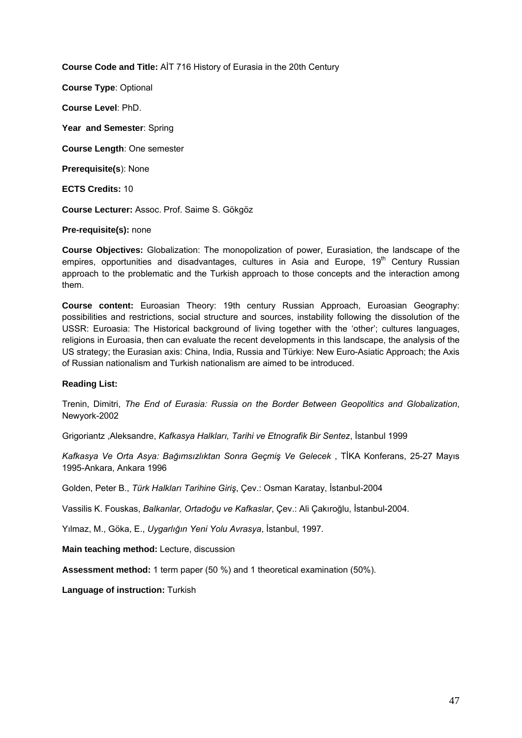**Course Code and Title:** AİT 716 History of Eurasia in the 20th Century

**Course Type**: Optional

**Course Level**: PhD.

**Year and Semester**: Spring

**Course Length**: One semester

**Prerequisite(s**): None

**ECTS Credits:** 10

**Course Lecturer:** Assoc. Prof. Saime S. Gökgöz

#### **Pre-requisite(s):** none

**Course Objectives:** Globalization: The monopolization of power, Eurasiation, the landscape of the empires, opportunities and disadvantages, cultures in Asia and Europe,  $19<sup>th</sup>$  Century Russian approach to the problematic and the Turkish approach to those concepts and the interaction among them.

**Course content:** Euroasian Theory: 19th century Russian Approach, Euroasian Geography: possibilities and restrictions, social structure and sources, instability following the dissolution of the USSR: Euroasia: The Historical background of living together with the 'other'; cultures languages, religions in Euroasia, then can evaluate the recent developments in this landscape, the analysis of the US strategy; the Eurasian axis: China, India, Russia and Türkiye: New Euro-Asiatic Approach; the Axis of Russian nationalism and Turkish nationalism are aimed to be introduced.

## **Reading List:**

Trenin, Dimitri, *The End of Eurasia: Russia on the Border Between Geopolitics and Globalization*, Newyork-2002

Grigoriantz ,Aleksandre, *Kafkasya Halkları, Tarihi ve Etnografik Bir Sentez*, İstanbul 1999

*Kafkasya Ve Orta Asya: Bağımsızlıktan Sonra Geçmiş Ve Gelecek* , TİKA Konferans, 25-27 Mayıs 1995-Ankara, Ankara 1996

Golden, Peter B., *Türk Halkları Tarihine Giriş*, Çev.: Osman Karatay, İstanbul-2004

Vassilis K. Fouskas, *Balkanlar, Ortadoğu ve Kafkaslar*, Çev.: Ali Çakıroğlu, İstanbul-2004.

Yılmaz, M., Göka, E., *Uygarlığın Yeni Yolu Avrasya*, İstanbul, 1997.

**Main teaching method:** Lecture, discussion

**Assessment method:** 1 term paper (50 %) and 1 theoretical examination (50%).